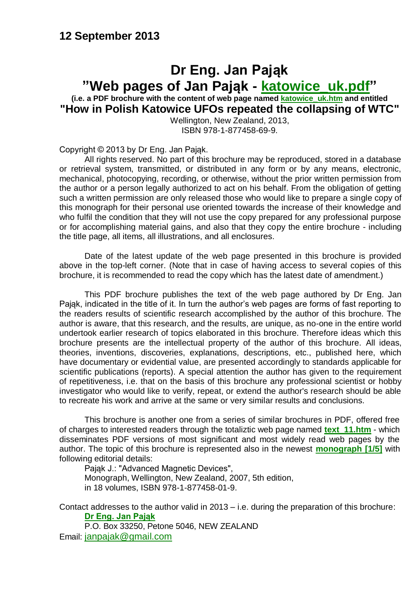#### **12 September 2013**

#### **Dr Eng. Jan Pająk "Web pages of Jan Pająk - [katowice\\_uk.pdf"](http://totalizm.com.pl/katowice_uk.pdf) (i.e. a PDF brochure with the content of web page named [katowice\\_uk.htm](http://totalizm.com.pl/katowice_uk.htm) and entitled**

**"How in Polish Katowice UFOs repeated the collapsing of WTC"**

Wellington, New Zealand, 2013, ISBN 978-1-877458-69-9.

Copyright © 2013 by Dr Eng. Jan Pająk.

All rights reserved. No part of this brochure may be reproduced, stored in a database or retrieval system, transmitted, or distributed in any form or by any means, electronic, mechanical, photocopying, recording, or otherwise, without the prior written permission from the author or a person legally authorized to act on his behalf. From the obligation of getting such a written permission are only released those who would like to prepare a single copy of this monograph for their personal use oriented towards the increase of their knowledge and who fulfil the condition that they will not use the copy prepared for any professional purpose or for accomplishing material gains, and also that they copy the entire brochure - including the title page, all items, all illustrations, and all enclosures.

Date of the latest update of the web page presented in this brochure is provided above in the top-left corner. (Note that in case of having access to several copies of this brochure, it is recommended to read the copy which has the latest date of amendment.)

This PDF brochure publishes the text of the web page authored by Dr Eng. Jan Pająk, indicated in the title of it. In turn the author's web pages are forms of fast reporting to the readers results of scientific research accomplished by the author of this brochure. The author is aware, that this research, and the results, are unique, as no-one in the entire world undertook earlier research of topics elaborated in this brochure. Therefore ideas which this brochure presents are the intellectual property of the author of this brochure. All ideas, theories, inventions, discoveries, explanations, descriptions, etc., published here, which have documentary or evidential value, are presented accordingly to standards applicable for scientific publications (reports). A special attention the author has given to the requirement of repetitiveness, i.e. that on the basis of this brochure any professional scientist or hobby investigator who would like to verify, repeat, or extend the author's research should be able to recreate his work and arrive at the same or very similar results and conclusions.

This brochure is another one from a series of similar brochures in PDF, offered free of charges to interested readers through the totaliztic web page named **[text\\_11.htm](http://totalizm.com.pl/text_11.htm)** - which disseminates PDF versions of most significant and most widely read web pages by the author. The topic of this brochure is represented also in the newest **[monograph \[1/5\]](http://totalizm.com.pl/text_1_5.htm)** with following editorial details:

Pająk J.: "Advanced Magnetic Devices", Monograph, Wellington, New Zealand, 2007, 5th edition, in 18 volumes, ISBN 978-1-877458-01-9.

Contact addresses to the author valid in 2013 – i.e. during the preparation of this brochure: **[Dr Eng. Jan Pająk](http://images.google.co.nz/images?hl=en&q=Jan+Pajak&btnG=Search+Images&gbv=1)**

P.O. Box 33250, Petone 5046, NEW ZEALAND Email: [janpajak@gmail.com](mailto:%20janpajak@gmail.com)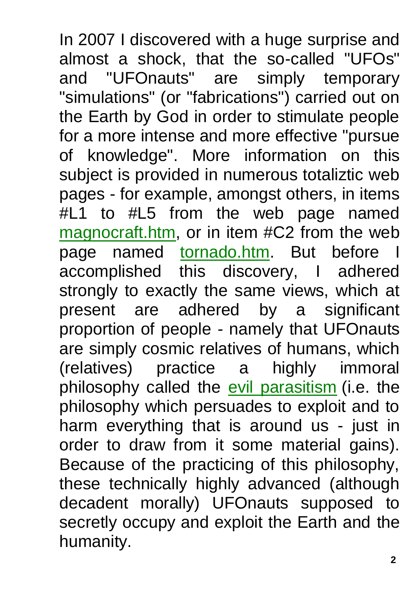In 2007 I discovered with a huge surprise and almost a shock, that the so-called "UFOs" and "UFOnauts" are simply temporary "simulations" (or "fabrications") carried out on the Earth by God in order to stimulate people for a more intense and more effective "pursue of knowledge". More information on this subject is provided in numerous totaliztic web pages - for example, amongst others, in items #L1 to #L5 from the web page named [magnocraft.htm,](http://totalizm.com.pl/magnocraft.htm) or in item #C2 from the web page named [tornado.htm.](http://totalizm.com.pl/tornado.htm) But before I accomplished this discovery, I adhered strongly to exactly the same views, which at present are adhered by a significant proportion of people - namely that UFOnauts are simply cosmic relatives of humans, which (relatives) practice a highly immoral philosophy called the [evil parasitism](http://totalizm.com.pl/parasitism.htm) (i.e. the philosophy which persuades to exploit and to harm everything that is around us - just in order to draw from it some material gains). Because of the practicing of this philosophy, these technically highly advanced (although decadent morally) UFOnauts supposed to secretly occupy and exploit the Earth and the humanity.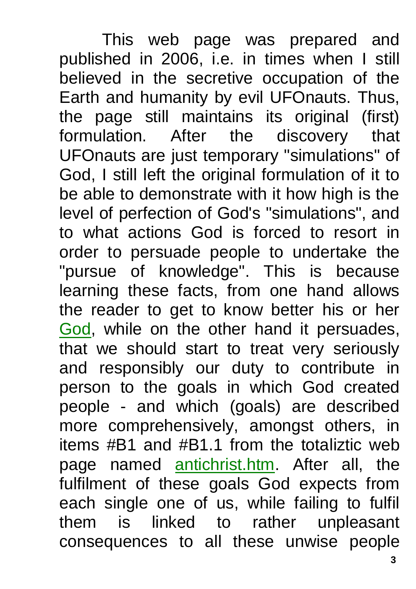This web page was prepared and published in 2006, i.e. in times when I still believed in the secretive occupation of the Earth and humanity by evil UFOnauts. Thus, the page still maintains its original (first) formulation. After the discovery that UFOnauts are just temporary "simulations" of God, I still left the original formulation of it to be able to demonstrate with it how high is the level of perfection of God's "simulations", and to what actions God is forced to resort in order to persuade people to undertake the "pursue of knowledge". This is because learning these facts, from one hand allows the reader to get to know better his or her [God,](http://totalizm.com.pl/god_proof.htm) while on the other hand it persuades, that we should start to treat very seriously and responsibly our duty to contribute in person to the goals in which God created people - and which (goals) are described more comprehensively, amongst others, in items #B1 and #B1.1 from the totaliztic web page named [antichrist.htm.](http://totalizm.com.pl/antichrist.htm) After all, the fulfilment of these goals God expects from each single one of us, while failing to fulfil them is linked to rather unpleasant consequences to all these unwise people

**3**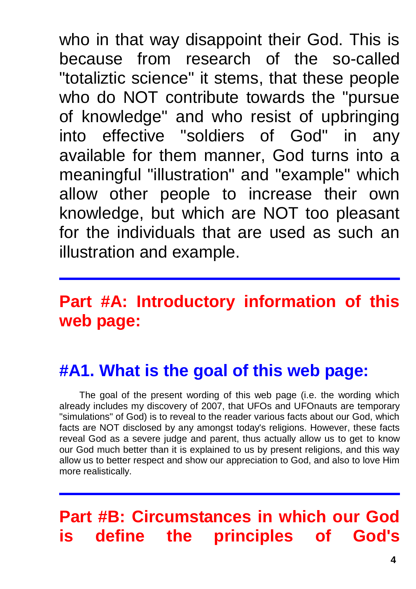who in that way disappoint their God. This is because from research of the so-called "totaliztic science" it stems, that these people who do NOT contribute towards the "pursue of knowledge" and who resist of upbringing into effective "soldiers of God" in any available for them manner, God turns into a meaningful "illustration" and "example" which allow other people to increase their own knowledge, but which are NOT too pleasant for the individuals that are used as such an illustration and example.

# **Part #A: Introductory information of this web page:**

# **#A1. What is the goal of this web page:**

The goal of the present wording of this web page (i.e. the wording which already includes my discovery of 2007, that UFOs and UFOnauts are temporary "simulations" of God) is to reveal to the reader various facts about our God, which facts are NOT disclosed by any amongst today's religions. However, these facts reveal God as a severe judge and parent, thus actually allow us to get to know our God much better than it is explained to us by present religions, and this way allow us to better respect and show our appreciation to God, and also to love Him more realistically.

# **Part #B: Circumstances in which our God is define the principles of God's**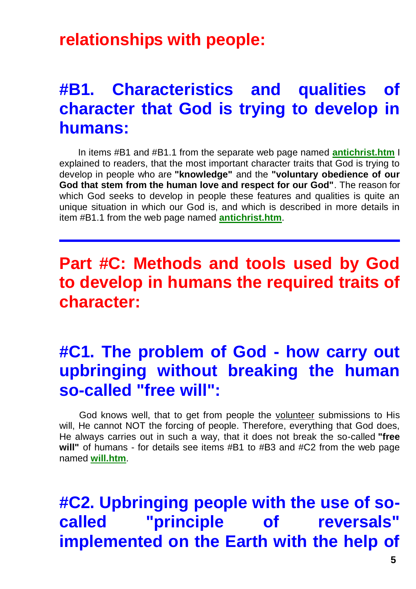#### **relationships with people:**

## **#B1. Characteristics and qualities of character that God is trying to develop in humans:**

In items #B1 and #B1.1 from the separate web page named **[antichrist.htm](http://totalizm.com.pl/antichrist.htm)** I explained to readers, that the most important character traits that God is trying to develop in people who are **"knowledge"** and the **"voluntary obedience of our God that stem from the human love and respect for our God"**. The reason for which God seeks to develop in people these features and qualities is quite an unique situation in which our God is, and which is described in more details in item #B1.1 from the web page named **[antichrist.htm](http://totalizm.com.pl/antichrist.htm)**.

## **Part #C: Methods and tools used by God to develop in humans the required traits of character:**

## **#C1. The problem of God - how carry out upbringing without breaking the human so-called "free will":**

God knows well, that to get from people the volunteer submissions to His will, He cannot NOT the forcing of people. Therefore, everything that God does, He always carries out in such a way, that it does not break the so-called **"free will"** of humans - for details see items #B1 to #B3 and #C2 from the web page named **[will.htm](http://totalizm.com.pl/will.htm)**.

**#C2. Upbringing people with the use of socalled "principle of reversals" implemented on the Earth with the help of**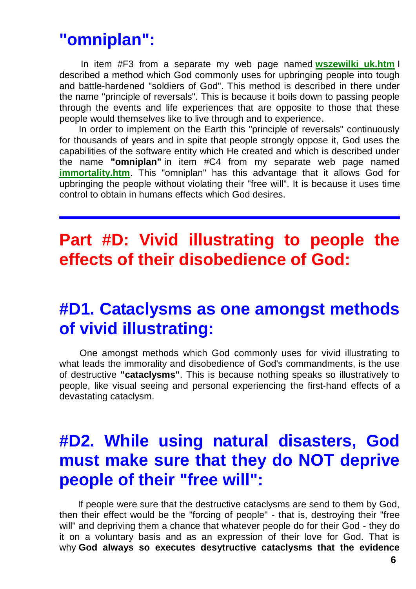#### **"omniplan":**

In item #F3 from a separate my web page named **[wszewilki\\_uk.htm](http://totalizm.com.pl/wszewilki_uk.htm)** I described a method which God commonly uses for upbringing people into tough and battle-hardened "soldiers of God". This method is described in there under the name "principle of reversals". This is because it boils down to passing people through the events and life experiences that are opposite to those that these people would themselves like to live through and to experience.

In order to implement on the Earth this "principle of reversals" continuously for thousands of years and in spite that people strongly oppose it, God uses the capabilities of the software entity which He created and which is described under the name **"omniplan"** in item #C4 from my separate web page named **[immortality.htm](http://totalizm.com.pl/immortality.htm)**. This "omniplan" has this advantage that it allows God for upbringing the people without violating their "free will". It is because it uses time control to obtain in humans effects which God desires.

## **Part #D: Vivid illustrating to people the effects of their disobedience of God:**

#### **#D1. Cataclysms as one amongst methods of vivid illustrating:**

One amongst methods which God commonly uses for vivid illustrating to what leads the immorality and disobedience of God's commandments, is the use of destructive **"cataclysms"**. This is because nothing speaks so illustratively to people, like visual seeing and personal experiencing the first-hand effects of a devastating cataclysm.

## **#D2. While using natural disasters, God must make sure that they do NOT deprive people of their "free will":**

If people were sure that the destructive cataclysms are send to them by God, then their effect would be the "forcing of people" - that is, destroying their "free will" and depriving them a chance that whatever people do for their God - they do it on a voluntary basis and as an expression of their love for God. That is why **God always so executes desytructive cataclysms that the evidence**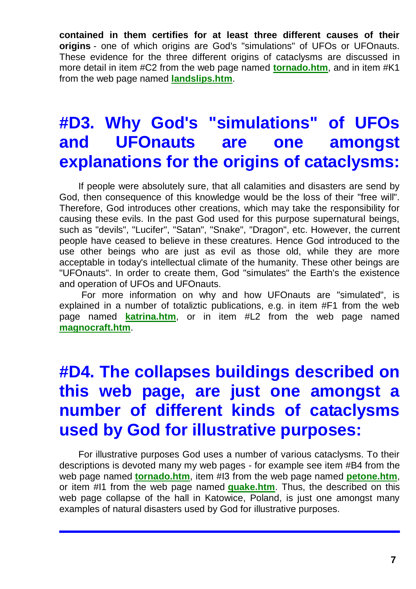**contained in them certifies for at least three different causes of their origins** - one of which origins are God's "simulations" of UFOs or UFOnauts. These evidence for the three different origins of cataclysms are discussed in more detail in item #C2 from the web page named **[tornado.htm](http://totalizm.com.pl/tornado.htm)**, and in item #K1 from the web page named **[landslips.htm](http://totalizm.com.pl/landslips.htm)**.

## **#D3. Why God's "simulations" of UFOs and UFOnauts are one amongst explanations for the origins of cataclysms:**

If people were absolutely sure, that all calamities and disasters are send by God, then consequence of this knowledge would be the loss of their "free will". Therefore, God introduces other creations, which may take the responsibility for causing these evils. In the past God used for this purpose supernatural beings, such as "devils", "Lucifer", "Satan", "Snake", "Dragon", etc. However, the current people have ceased to believe in these creatures. Hence God introduced to the use other beings who are just as evil as those old, while they are more acceptable in today's intellectual climate of the humanity. These other beings are "UFOnauts". In order to create them, God "simulates" the Earth's the existence and operation of UFOs and UFOnauts.

For more information on why and how UFOnauts are "simulated", is explained in a number of totaliztic publications, e.g. in item #F1 from the web page named **[katrina.htm](http://totalizm.com.pl/katrina.htm)**, or in item #L2 from the web page named **[magnocraft.htm](http://totalizm.com.pl/magnocraft.htm)**.

# **#D4. The collapses buildings described on this web page, are just one amongst a number of different kinds of cataclysms used by God for illustrative purposes:**

For illustrative purposes God uses a number of various cataclysms. To their descriptions is devoted many my web pages - for example see item #B4 from the web page named **[tornado.htm](http://totalizm.com.pl/tornado.htm)**, item #I3 from the web page named **[petone.htm](http://totalizm.com.pl/petone.htm)**, or item #I1 from the web page named **[quake.htm](http://totalizm.com.pl/quake.htm)**. Thus, the described on this web page collapse of the hall in Katowice, Poland, is just one amongst many examples of natural disasters used by God for illustrative purposes.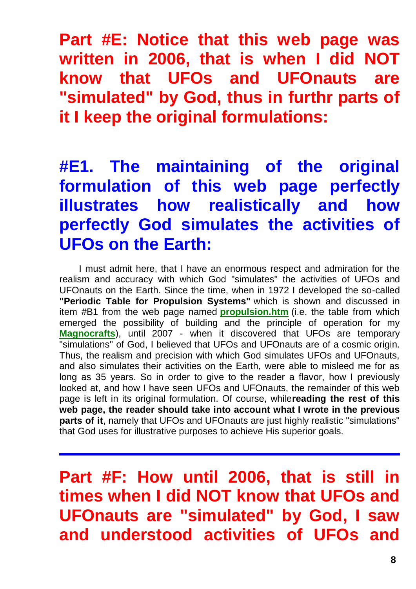**Part #E: Notice that this web page was written in 2006, that is when I did NOT know that UFOs and UFOnauts are "simulated" by God, thus in furthr parts of it I keep the original formulations:**

# **#E1. The maintaining of the original formulation of this web page perfectly illustrates how realistically and how perfectly God simulates the activities of UFOs on the Earth:**

I must admit here, that I have an enormous respect and admiration for the realism and accuracy with which God "simulates" the activities of UFOs and UFOnauts on the Earth. Since the time, when in 1972 I developed the so-called **"Periodic Table for Propulsion Systems"** which is shown and discussed in item #B1 from the web page named **[propulsion.htm](http://totalizm.com.pl/propulsion.htm)** (i.e. the table from which emerged the possibility of building and the principle of operation for my **[Magnocrafts](http://totalizm.com.pl/magnocraft.htm)**), until 2007 - when it discovered that UFOs are temporary "simulations" of God, I believed that UFOs and UFOnauts are of a cosmic origin. Thus, the realism and precision with which God simulates UFOs and UFOnauts, and also simulates their activities on the Earth, were able to misleed me for as long as 35 years. So in order to give to the reader a flavor, how I previously looked at, and how I have seen UFOs and UFOnauts, the remainder of this web page is left in its original formulation. Of course, while**reading the rest of this web page, the reader should take into account what I wrote in the previous parts of it**, namely that UFOs and UFOnauts are just highly realistic "simulations" that God uses for illustrative purposes to achieve His superior goals.

**Part #F: How until 2006, that is still in times when I did NOT know that UFOs and UFOnauts are "simulated" by God, I saw and understood activities of UFOs and**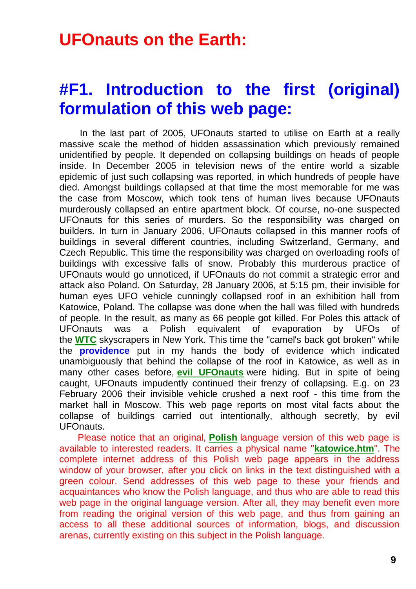#### **UFOnauts on the Earth:**

## **#F1. Introduction to the first (original) formulation of this web page:**

In the last part of 2005, UFOnauts started to utilise on Earth at a really massive scale the method of hidden assassination which previously remained unidentified by people. It depended on collapsing buildings on heads of people inside. In December 2005 in television news of the entire world a sizable epidemic of just such collapsing was reported, in which hundreds of people have died. Amongst buildings collapsed at that time the most memorable for me was the case from Moscow, which took tens of human lives because UFOnauts murderously collapsed an entire apartment block. Of course, no-one suspected UFOnauts for this series of murders. So the responsibility was charged on builders. In turn in January 2006, UFOnauts collapsed in this manner roofs of buildings in several different countries, including Switzerland, Germany, and Czech Republic. This time the responsibility was charged on overloading roofs of buildings with excessive falls of snow. Probably this murderous practice of UFOnauts would go unnoticed, if UFOnauts do not commit a strategic error and attack also Poland. On Saturday, 28 January 2006, at 5:15 pm, their invisible for human eyes UFO vehicle cunningly collapsed roof in an exhibition hall from Katowice, Poland. The collapse was done when the hall was filled with hundreds of people. In the result, as many as 66 people got killed. For Poles this attack of UFOnauts was a Polish equivalent of evaporation by UFOs of the **[WTC](http://totalizm.com.pl/wtc.htm)** skyscrapers in New York. This time the "camel's back got broken" while the **providence** put in my hands the body of evidence which indicated unambiguously that behind the collapse of the roof in Katowice, as well as in many other cases before, **[evil UFOnauts](http://totalizm.com.pl/evil.htm)** were hiding. But in spite of being caught, UFOnauts impudently continued their frenzy of collapsing. E.g. on 23 February 2006 their invisible vehicle crushed a next roof - this time from the market hall in Moscow. This web page reports on most vital facts about the collapse of buildings carried out intentionally, although secretly, by evil UFOnauts.

Please notice that an original, **[Polish](http://totalizm.com.pl/katowice.htm)** language version of this web page is available to interested readers. It carries a physical name "**[katowice.htm](http://totalizm.com.pl/katowice.htm)**". The complete internet address of this Polish web page appears in the address window of your browser, after you click on links in the text distinguished with a green colour. Send addresses of this web page to these your friends and acquaintances who know the Polish language, and thus who are able to read this web page in the original language version. After all, they may benefit even more from reading the original version of this web page, and thus from gaining an access to all these additional sources of information, blogs, and discussion arenas, currently existing on this subject in the Polish language.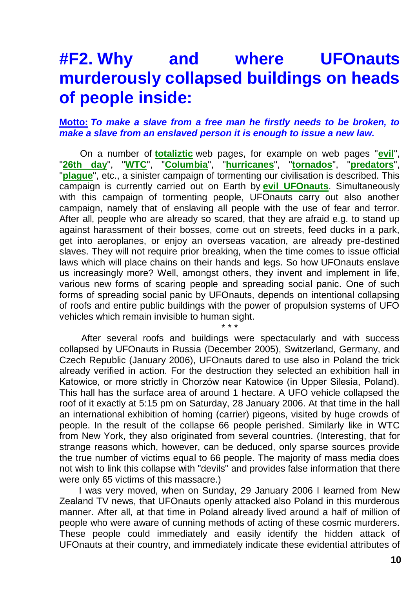### **#F2. Why and where UFOnauts murderously collapsed buildings on heads of people inside:**

#### **Motto:** *To make a slave from a free man he firstly needs to be broken, to make a slave from an enslaved person it is enough to issue a new law.*

On a number of **[totaliztic](http://totalizm.com.pl/totalizm.htm)** web pages, for example on web pages "**[evil](http://totalizm.com.pl/evil.htm)**", "**[26th day](http://totalizm.com.pl/day26.htm)**", "**[WTC](http://totalizm.com.pl/wtc.htm)**", "**[Columbia](http://totalizm.com.pl/shuttle.htm)**", "**[hurricanes](http://totalizm.com.pl/hurricane.htm)**", "**[tornados](http://totalizm.com.pl/tornado.htm)**", "**[predators](http://totalizm.com.pl/predators.htm)**", "**[plague](http://totalizm.com.pl/plague.htm)**", etc., a sinister campaign of tormenting our civilisation is described. This campaign is currently carried out on Earth by **[evil UFOnauts](http://totalizm.com.pl/evil.htm)**. Simultaneously with this campaign of tormenting people, UFOnauts carry out also another campaign, namely that of enslaving all people with the use of fear and terror. After all, people who are already so scared, that they are afraid e.g. to stand up against harassment of their bosses, come out on streets, feed ducks in a park, get into aeroplanes, or enjoy an overseas vacation, are already pre-destined slaves. They will not require prior breaking, when the time comes to issue official laws which will place chains on their hands and legs. So how UFOnauts enslave us increasingly more? Well, amongst others, they invent and implement in life, various new forms of scaring people and spreading social panic. One of such forms of spreading social panic by UFOnauts, depends on intentional collapsing of roofs and entire public buildings with the power of propulsion systems of UFO vehicles which remain invisible to human sight.

After several roofs and buildings were spectacularly and with success collapsed by UFOnauts in Russia (December 2005), Switzerland, Germany, and Czech Republic (January 2006), UFOnauts dared to use also in Poland the trick already verified in action. For the destruction they selected an exhibition hall in Katowice, or more strictly in Chorzów near Katowice (in Upper Silesia, Poland). This hall has the surface area of around 1 hectare. A UFO vehicle collapsed the roof of it exactly at 5:15 pm on Saturday, 28 January 2006. At that time in the hall an international exhibition of homing (carrier) pigeons, visited by huge crowds of people. In the result of the collapse 66 people perished. Similarly like in WTC from New York, they also originated from several countries. (Interesting, that for strange reasons which, however, can be deduced, only sparse sources provide the true number of victims equal to 66 people. The majority of mass media does not wish to link this collapse with "devils" and provides false information that there were only 65 victims of this massacre.)

\* \* \*

I was very moved, when on Sunday, 29 January 2006 I learned from New Zealand TV news, that UFOnauts openly attacked also Poland in this murderous manner. After all, at that time in Poland already lived around a half of million of people who were aware of cunning methods of acting of these cosmic murderers. These people could immediately and easily identify the hidden attack of UFOnauts at their country, and immediately indicate these evidential attributes of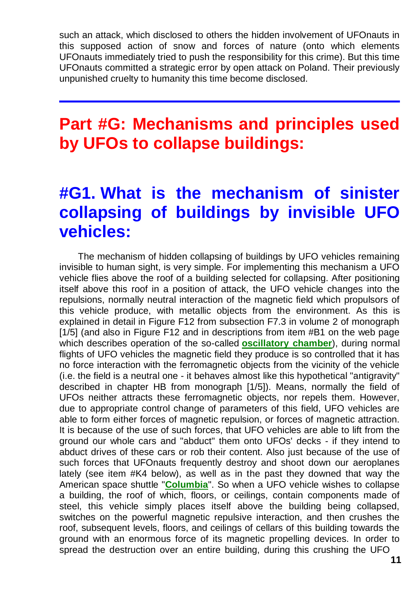such an attack, which disclosed to others the hidden involvement of UFOnauts in this supposed action of snow and forces of nature (onto which elements UFOnauts immediately tried to push the responsibility for this crime). But this time UFOnauts committed a strategic error by open attack on Poland. Their previously unpunished cruelty to humanity this time become disclosed.

## **Part #G: Mechanisms and principles used by UFOs to collapse buildings:**

## **#G1. What is the mechanism of sinister collapsing of buildings by invisible UFO vehicles:**

The mechanism of hidden collapsing of buildings by UFO vehicles remaining invisible to human sight, is very simple. For implementing this mechanism a UFO vehicle flies above the roof of a building selected for collapsing. After positioning itself above this roof in a position of attack, the UFO vehicle changes into the repulsions, normally neutral interaction of the magnetic field which propulsors of this vehicle produce, with metallic objects from the environment. As this is explained in detail in Figure F12 from subsection F7.3 in volume 2 of monograph [1/5] (and also in Figure F12 and in descriptions from item #B1 on the web page which describes operation of the so-called **[oscillatory chamber](http://totalizm.com.pl/oscillatory_chamber.htm)**), during normal flights of UFO vehicles the magnetic field they produce is so controlled that it has no force interaction with the ferromagnetic objects from the vicinity of the vehicle (i.e. the field is a neutral one - it behaves almost like this hypothetical "antigravity" described in chapter HB from monograph [1/5]). Means, normally the field of UFOs neither attracts these ferromagnetic objects, nor repels them. However, due to appropriate control change of parameters of this field, UFO vehicles are able to form either forces of magnetic repulsion, or forces of magnetic attraction. It is because of the use of such forces, that UFO vehicles are able to lift from the ground our whole cars and "abduct" them onto UFOs' decks - if they intend to abduct drives of these cars or rob their content. Also just because of the use of such forces that UFOnauts frequently destroy and shoot down our aeroplanes lately (see item #K4 below), as well as in the past they downed that way the American space shuttle "**[Columbia](http://totalizm.com.pl/shuttle.htm)**". So when a UFO vehicle wishes to collapse a building, the roof of which, floors, or ceilings, contain components made of steel, this vehicle simply places itself above the building being collapsed, switches on the powerful magnetic repulsive interaction, and then crushes the roof, subsequent levels, floors, and ceilings of cellars of this building towards the ground with an enormous force of its magnetic propelling devices. In order to spread the destruction over an entire building, during this crushing the UFO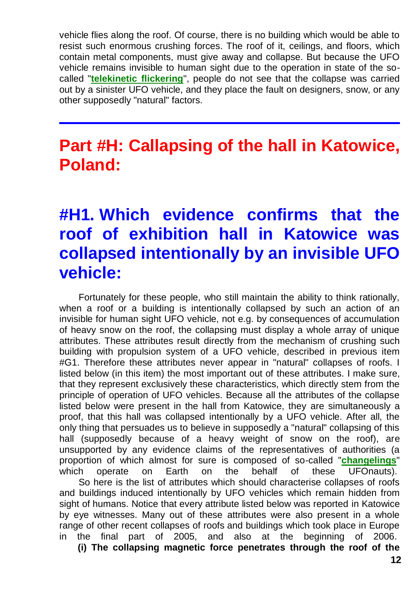vehicle flies along the roof. Of course, there is no building which would be able to resist such enormous crushing forces. The roof of it, ceilings, and floors, which contain metal components, must give away and collapse. But because the UFO vehicle remains invisible to human sight due to the operation in state of the socalled "**[telekinetic flickering](http://totalizm.com.pl/telekinesis.htm)**", people do not see that the collapse was carried out by a sinister UFO vehicle, and they place the fault on designers, snow, or any other supposedly "natural" factors.

## **Part #H: Callapsing of the hall in Katowice, Poland:**

## **#H1. Which evidence confirms that the roof of exhibition hall in Katowice was collapsed intentionally by an invisible UFO vehicle:**

Fortunately for these people, who still maintain the ability to think rationally, when a roof or a building is intentionally collapsed by such an action of an invisible for human sight UFO vehicle, not e.g. by consequences of accumulation of heavy snow on the roof, the collapsing must display a whole array of unique attributes. These attributes result directly from the mechanism of crushing such building with propulsion system of a UFO vehicle, described in previous item #G1. Therefore these attributes never appear in "natural" collapses of roofs. I listed below (in this item) the most important out of these attributes. I make sure, that they represent exclusively these characteristics, which directly stem from the principle of operation of UFO vehicles. Because all the attributes of the collapse listed below were present in the hall from Katowice, they are simultaneously a proof, that this hall was collapsed intentionally by a UFO vehicle. After all, the only thing that persuades us to believe in supposedly a "natural" collapsing of this hall (supposedly because of a heavy weight of snow on the roof), are unsupported by any evidence claims of the representatives of authorities (a proportion of which almost for sure is composed of so-called "**[changelings](http://totalizm.com.pl/changelings.htm)**" which operate on Earth on the behalf of these UFOnauts).

So here is the list of attributes which should characterise collapses of roofs and buildings induced intentionally by UFO vehicles which remain hidden from sight of humans. Notice that every attribute listed below was reported in Katowice by eye witnesses. Many out of these attributes were also present in a whole range of other recent collapses of roofs and buildings which took place in Europe in the final part of 2005, and also at the beginning of 2006.

**(i) The collapsing magnetic force penetrates through the roof of the**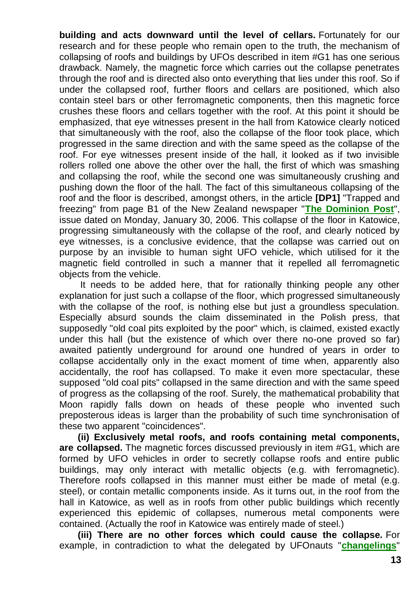**building and acts downward until the level of cellars.** Fortunately for our research and for these people who remain open to the truth, the mechanism of collapsing of roofs and buildings by UFOs described in item #G1 has one serious drawback. Namely, the magnetic force which carries out the collapse penetrates through the roof and is directed also onto everything that lies under this roof. So if under the collapsed roof, further floors and cellars are positioned, which also contain steel bars or other ferromagnetic components, then this magnetic force crushes these floors and cellars together with the roof. At this point it should be emphasized, that eye witnesses present in the hall from Katowice clearly noticed that simultaneously with the roof, also the collapse of the floor took place, which progressed in the same direction and with the same speed as the collapse of the roof. For eye witnesses present inside of the hall, it looked as if two invisible rollers rolled one above the other over the hall, the first of which was smashing and collapsing the roof, while the second one was simultaneously crushing and pushing down the floor of the hall. The fact of this simultaneous collapsing of the roof and the floor is described, amongst others, in the article **[DP1]** "Trapped and freezing" from page B1 of the New Zealand newspaper "**[The Dominion Post](http://www.dompost.co.nz/)**", issue dated on Monday, January 30, 2006. This collapse of the floor in Katowice, progressing simultaneously with the collapse of the roof, and clearly noticed by eye witnesses, is a conclusive evidence, that the collapse was carried out on purpose by an invisible to human sight UFO vehicle, which utilised for it the magnetic field controlled in such a manner that it repelled all ferromagnetic objects from the vehicle.

It needs to be added here, that for rationally thinking people any other explanation for just such a collapse of the floor, which progressed simultaneously with the collapse of the roof, is nothing else but just a groundless speculation. Especially absurd sounds the claim disseminated in the Polish press, that supposedly "old coal pits exploited by the poor" which, is claimed, existed exactly under this hall (but the existence of which over there no-one proved so far) awaited patiently underground for around one hundred of years in order to collapse accidentally only in the exact moment of time when, apparently also accidentally, the roof has collapsed. To make it even more spectacular, these supposed "old coal pits" collapsed in the same direction and with the same speed of progress as the collapsing of the roof. Surely, the mathematical probability that Moon rapidly falls down on heads of these people who invented such preposterous ideas is larger than the probability of such time synchronisation of these two apparent "coincidences".

**(ii) Exclusively metal roofs, and roofs containing metal components, are collapsed.** The magnetic forces discussed previously in item #G1, which are formed by UFO vehicles in order to secretly collapse roofs and entire public buildings, may only interact with metallic objects (e.g. with ferromagnetic). Therefore roofs collapsed in this manner must either be made of metal (e.g. steel), or contain metallic components inside. As it turns out, in the roof from the hall in Katowice, as well as in roofs from other public buildings which recently experienced this epidemic of collapses, numerous metal components were contained. (Actually the roof in Katowice was entirely made of steel.)

**(iii) There are no other forces which could cause the collapse.** For example, in contradiction to what the delegated by UFOnauts "**[changelings](http://totalizm.com.pl/changelings.htm)**"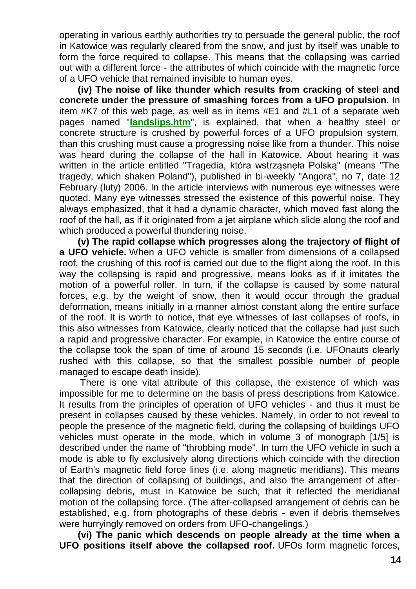operating in various earthly authorities try to persuade the general public, the roof in Katowice was regularly cleared from the snow, and just by itself was unable to form the force required to collapse. This means that the collapsing was carried out with a different force - the attributes of which coincide with the magnetic force of a UFO vehicle that remained invisible to human eyes.

**(iv) The noise of like thunder which results from cracking of steel and concrete under the pressure of smashing forces from a UFO propulsion.** In item #K7 of this web page, as well as in items #E1 and #L1 of a separate web pages named "**[landslips.htm](http://totalizm.com.pl/landslips.htm)**", is explained, that when a healthy steel or concrete structure is crushed by powerful forces of a UFO propulsion system, than this crushing must cause a progressing noise like from a thunder. This noise was heard during the collapse of the hall in Katowice. About hearing it was written in the article entitled "Tragedia, która wstrząsnęła Polską" (means "The tragedy, which shaken Poland"), published in bi-weekly "Angora", no 7, date 12 February (luty) 2006. In the article interviews with numerous eye witnesses were quoted. Many eye witnesses stressed the existence of this powerful noise. They always emphasized, that it had a dynamic character, which moved fast along the roof of the hall, as if it originated from a jet airplane which slide along the roof and which produced a powerful thundering noise.

**(v) The rapid collapse which progresses along the trajectory of flight of a UFO vehicle.** When a UFO vehicle is smaller from dimensions of a collapsed roof, the crushing of this roof is carried out due to the flight along the roof. In this way the collapsing is rapid and progressive, means looks as if it imitates the motion of a powerful roller. In turn, if the collapse is caused by some natural forces, e.g. by the weight of snow, then it would occur through the gradual deformation, means initially in a manner almost constant along the entire surface of the roof. It is worth to notice, that eye witnesses of last collapses of roofs, in this also witnesses from Katowice, clearly noticed that the collapse had just such a rapid and progressive character. For example, in Katowice the entire course of the collapse took the span of time of around 15 seconds (i.e. UFOnauts clearly rushed with this collapse, so that the smallest possible number of people managed to escape death inside).

There is one vital attribute of this collapse, the existence of which was impossible for me to determine on the basis of press descriptions from Katowice. It results from the principles of operation of UFO vehicles - and thus it must be present in collapses caused by these vehicles. Namely, in order to not reveal to people the presence of the magnetic field, during the collapsing of buildings UFO vehicles must operate in the mode, which in volume 3 of monograph [1/5] is described under the name of "throbbing mode". In turn the UFO vehicle in such a mode is able to fly exclusively along directions which coincide with the direction of Earth's magnetic field force lines (i.e. along magnetic meridians). This means that the direction of collapsing of buildings, and also the arrangement of aftercollapsing debris, must in Katowice be such, that it reflected the meridianal motion of the collapsing force. (The after-collapsed arrangement of debris can be established, e.g. from photographs of these debris - even if debris themselves were hurryingly removed on orders from UFO-changelings.)

**(vi) The panic which descends on people already at the time when a UFO positions itself above the collapsed roof.** UFOs form magnetic forces,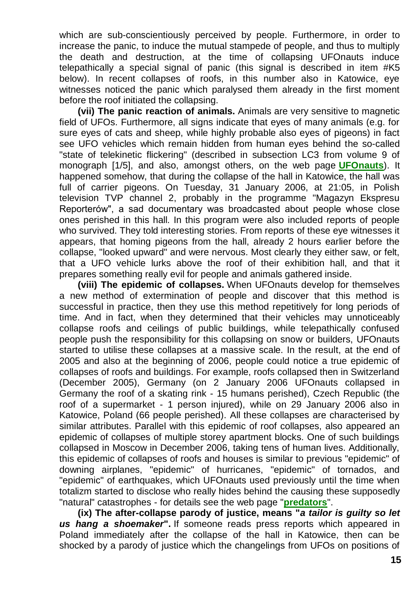which are sub-conscientiously perceived by people. Furthermore, in order to increase the panic, to induce the mutual stampede of people, and thus to multiply the death and destruction, at the time of collapsing UFOnauts induce telepathically a special signal of panic (this signal is described in item #K5 below). In recent collapses of roofs, in this number also in Katowice, eye witnesses noticed the panic which paralysed them already in the first moment before the roof initiated the collapsing.

**(vii) The panic reaction of animals.** Animals are very sensitive to magnetic field of UFOs. Furthermore, all signs indicate that eyes of many animals (e.g. for sure eyes of cats and sheep, while highly probable also eyes of pigeons) in fact see UFO vehicles which remain hidden from human eyes behind the so-called "state of telekinetic flickering" (described in subsection LC3 from volume 9 of monograph [1/5], and also, amongst others, on the web page **[UFOnauts](http://totalizm.com.pl/ufo.htm)**). It happened somehow, that during the collapse of the hall in Katowice, the hall was full of carrier pigeons. On Tuesday, 31 January 2006, at 21:05, in Polish television TVP channel 2, probably in the programme "Magazyn Ekspresu Reporterów", a sad documentary was broadcasted about people whose close ones perished in this hall. In this program were also included reports of people who survived. They told interesting stories. From reports of these eye witnesses it appears, that homing pigeons from the hall, already 2 hours earlier before the collapse, "looked upward" and were nervous. Most clearly they either saw, or felt, that a UFO vehicle lurks above the roof of their exhibition hall, and that it prepares something really evil for people and animals gathered inside.

**(viii) The epidemic of collapses.** When UFOnauts develop for themselves a new method of extermination of people and discover that this method is successful in practice, then they use this method repetitively for long periods of time. And in fact, when they determined that their vehicles may unnoticeably collapse roofs and ceilings of public buildings, while telepathically confused people push the responsibility for this collapsing on snow or builders, UFOnauts started to utilise these collapses at a massive scale. In the result, at the end of 2005 and also at the beginning of 2006, people could notice a true epidemic of collapses of roofs and buildings. For example, roofs collapsed then in Switzerland (December 2005), Germany (on 2 January 2006 UFOnauts collapsed in Germany the roof of a skating rink - 15 humans perished), Czech Republic (the roof of a supermarket - 1 person injured), while on 29 January 2006 also in Katowice, Poland (66 people perished). All these collapses are characterised by similar attributes. Parallel with this epidemic of roof collapses, also appeared an epidemic of collapses of multiple storey apartment blocks. One of such buildings collapsed in Moscow in December 2006, taking tens of human lives. Additionally, this epidemic of collapses of roofs and houses is similar to previous "epidemic" of downing airplanes, "epidemic" of hurricanes, "epidemic" of tornados, and "epidemic" of earthquakes, which UFOnauts used previously until the time when totalizm started to disclose who really hides behind the causing these supposedly "natural" catastrophes - for details see the web page "**[predators](http://totalizm.com.pl/predators.htm)**".

**(ix) The after-collapse parody of justice, means "***a tailor is guilty so let us hang a shoemaker***".** If someone reads press reports which appeared in Poland immediately after the collapse of the hall in Katowice, then can be shocked by a parody of justice which the changelings from UFOs on positions of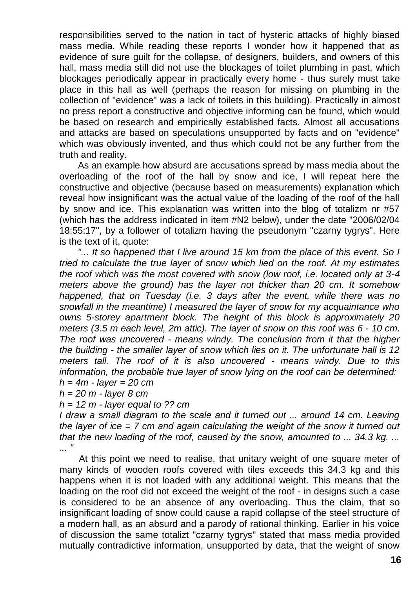responsibilities served to the nation in tact of hysteric attacks of highly biased mass media. While reading these reports I wonder how it happened that as evidence of sure guilt for the collapse, of designers, builders, and owners of this hall, mass media still did not use the blockages of toilet plumbing in past, which blockages periodically appear in practically every home - thus surely must take place in this hall as well (perhaps the reason for missing on plumbing in the collection of "evidence" was a lack of toilets in this building). Practically in almost no press report a constructive and objective informing can be found, which would be based on research and empirically established facts. Almost all accusations and attacks are based on speculations unsupported by facts and on "evidence" which was obviously invented, and thus which could not be any further from the truth and reality.

As an example how absurd are accusations spread by mass media about the overloading of the roof of the hall by snow and ice, I will repeat here the constructive and objective (because based on measurements) explanation which reveal how insignificant was the actual value of the loading of the roof of the hall by snow and ice. This explanation was written into the blog of totalizm nr #57 (which has the address indicated in item #N2 below), under the date "2006/02/04 18:55:17", by a follower of totalizm having the pseudonym "czarny tygrys". Here is the text of it, quote:

*"... It so happened that I live around 15 km from the place of this event. So I tried to calculate the true layer of snow which lied on the roof. At my estimates the roof which was the most covered with snow (low roof, i.e. located only at 3-4 meters above the ground) has the layer not thicker than 20 cm. It somehow happened, that on Tuesday (i.e. 3 days after the event, while there was no snowfall in the meantime) I measured the layer of snow for my acquaintance who owns 5-storey apartment block. The height of this block is approximately 20 meters (3.5 m each level, 2m attic). The layer of snow on this roof was 6 - 10 cm. The roof was uncovered - means windy. The conclusion from it that the higher the building - the smaller layer of snow which lies on it. The unfortunate hall is 12 meters tall. The roof of it is also uncovered - means windy. Due to this information, the probable true layer of snow lying on the roof can be determined: h = 4m - layer = 20 cm*

*h = 20 m - layer 8 cm*

*h = 12 m - layer equal to ?? cm*

*I draw a small diagram to the scale and it turned out ... around 14 cm. Leaving the layer of ice = 7 cm and again calculating the weight of the snow it turned out that the new loading of the roof, caused by the snow, amounted to ... 34.3 kg. ... ... "*

At this point we need to realise, that unitary weight of one square meter of many kinds of wooden roofs covered with tiles exceeds this 34.3 kg and this happens when it is not loaded with any additional weight. This means that the loading on the roof did not exceed the weight of the roof - in designs such a case is considered to be an absence of any overloading. Thus the claim, that so insignificant loading of snow could cause a rapid collapse of the steel structure of a modern hall, as an absurd and a parody of rational thinking. Earlier in his voice of discussion the same totalizt "czarny tygrys" stated that mass media provided mutually contradictive information, unsupported by data, that the weight of snow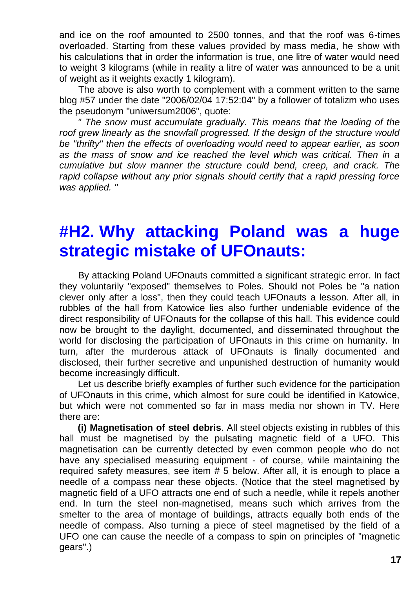and ice on the roof amounted to 2500 tonnes, and that the roof was 6-times overloaded. Starting from these values provided by mass media, he show with his calculations that in order the information is true, one litre of water would need to weight 3 kilograms (while in reality a litre of water was announced to be a unit of weight as it weights exactly 1 kilogram).

The above is also worth to complement with a comment written to the same blog #57 under the date "2006/02/04 17:52:04" by a follower of totalizm who uses the pseudonym "uniwersum2006", quote:

*" The snow must accumulate gradually. This means that the loading of the*  roof grew linearly as the snowfall progressed. If the design of the structure would *be "thrifty" then the effects of overloading would need to appear earlier, as soon as the mass of snow and ice reached the level which was critical. Then in a cumulative but slow manner the structure could bend, creep, and crack. The rapid collapse without any prior signals should certify that a rapid pressing force was applied. "*

## **#H2. Why attacking Poland was a huge strategic mistake of UFOnauts:**

By attacking Poland UFOnauts committed a significant strategic error. In fact they voluntarily "exposed" themselves to Poles. Should not Poles be "a nation clever only after a loss", then they could teach UFOnauts a lesson. After all, in rubbles of the hall from Katowice lies also further undeniable evidence of the direct responsibility of UFOnauts for the collapse of this hall. This evidence could now be brought to the daylight, documented, and disseminated throughout the world for disclosing the participation of UFOnauts in this crime on humanity. In turn, after the murderous attack of UFOnauts is finally documented and disclosed, their further secretive and unpunished destruction of humanity would become increasingly difficult.

Let us describe briefly examples of further such evidence for the participation of UFOnauts in this crime, which almost for sure could be identified in Katowice, but which were not commented so far in mass media nor shown in TV. Here there are:

**(i) Magnetisation of steel debris**. All steel objects existing in rubbles of this hall must be magnetised by the pulsating magnetic field of a UFO. This magnetisation can be currently detected by even common people who do not have any specialised measuring equipment - of course, while maintaining the required safety measures, see item # 5 below. After all, it is enough to place a needle of a compass near these objects. (Notice that the steel magnetised by magnetic field of a UFO attracts one end of such a needle, while it repels another end. In turn the steel non-magnetised, means such which arrives from the smelter to the area of montage of buildings, attracts equally both ends of the needle of compass. Also turning a piece of steel magnetised by the field of a UFO one can cause the needle of a compass to spin on principles of "magnetic gears".)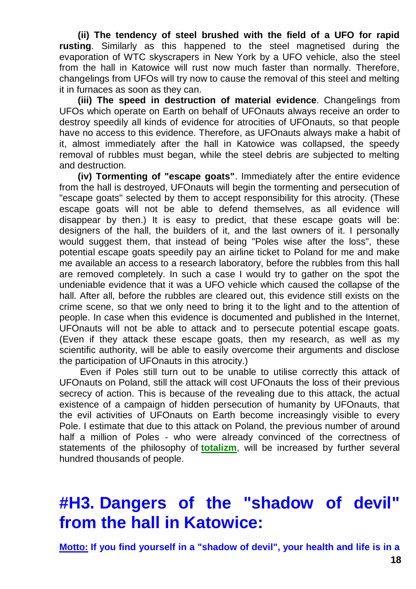**(ii) The tendency of steel brushed with the field of a UFO for rapid rusting**. Similarly as this happened to the steel magnetised during the evaporation of WTC skyscrapers in New York by a UFO vehicle, also the steel from the hall in Katowice will rust now much faster than normally. Therefore, changelings from UFOs will try now to cause the removal of this steel and melting it in furnaces as soon as they can.

**(iii) The speed in destruction of material evidence**. Changelings from UFOs which operate on Earth on behalf of UFOnauts always receive an order to destroy speedily all kinds of evidence for atrocities of UFOnauts, so that people have no access to this evidence. Therefore, as UFOnauts always make a habit of it, almost immediately after the hall in Katowice was collapsed, the speedy removal of rubbles must began, while the steel debris are subjected to melting and destruction.

**(iv) Tormenting of "escape goats"**. Immediately after the entire evidence from the hall is destroyed, UFOnauts will begin the tormenting and persecution of "escape goats" selected by them to accept responsibility for this atrocity. (These escape goats will not be able to defend themselves, as all evidence will disappear by then.) It is easy to predict, that these escape goats will be: designers of the hall, the builders of it, and the last owners of it. I personally would suggest them, that instead of being "Poles wise after the loss", these potential escape goats speedily pay an airline ticket to Poland for me and make me available an access to a research laboratory, before the rubbles from this hall are removed completely. In such a case I would try to gather on the spot the undeniable evidence that it was a UFO vehicle which caused the collapse of the hall. After all, before the rubbles are cleared out, this evidence still exists on the crime scene, so that we only need to bring it to the light and to the attention of people. In case when this evidence is documented and published in the Internet, UFOnauts will not be able to attack and to persecute potential escape goats. (Even if they attack these escape goats, then my research, as well as my scientific authority, will be able to easily overcome their arguments and disclose the participation of UFOnauts in this atrocity.)

Even if Poles still turn out to be unable to utilise correctly this attack of UFOnauts on Poland, still the attack will cost UFOnauts the loss of their previous secrecy of action. This is because of the revealing due to this attack, the actual existence of a campaign of hidden persecution of humanity by UFOnauts, that the evil activities of UFOnauts on Earth become increasingly visible to every Pole. I estimate that due to this attack on Poland, the previous number of around half a million of Poles - who were already convinced of the correctness of statements of the philosophy of **[totalizm](http://totalizm.com.pl/totalizm.htm)**, will be increased by further several hundred thousands of people.

# **#H3. Dangers of the "shadow of devil" from the hall in Katowice:**

**Motto: If you find yourself in a "shadow of devil", your health and life is in a**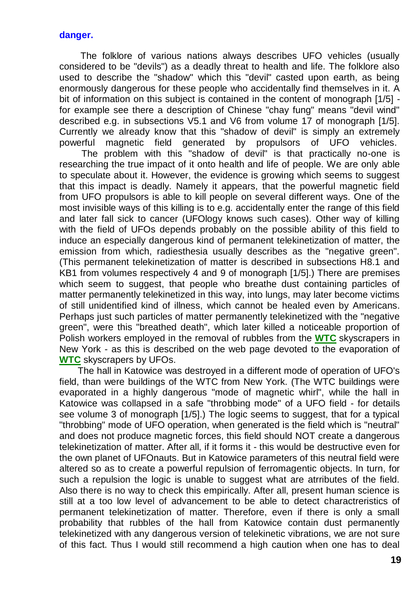#### **danger.**

The folklore of various nations always describes UFO vehicles (usually considered to be "devils") as a deadly threat to health and life. The folklore also used to describe the "shadow" which this "devil" casted upon earth, as being enormously dangerous for these people who accidentally find themselves in it. A bit of information on this subject is contained in the content of monograph [1/5] for example see there a description of Chinese "chay fung" means "devil wind" described e.g. in subsections V5.1 and V6 from volume 17 of monograph [1/5]. Currently we already know that this "shadow of devil" is simply an extremely powerful magnetic field generated by propulsors of UFO vehicles.

The problem with this "shadow of devil" is that practically no-one is researching the true impact of it onto health and life of people. We are only able to speculate about it. However, the evidence is growing which seems to suggest that this impact is deadly. Namely it appears, that the powerful magnetic field from UFO propulsors is able to kill people on several different ways. One of the most invisible ways of this killing is to e.g. accidentally enter the range of this field and later fall sick to cancer (UFOlogy knows such cases). Other way of killing with the field of UFOs depends probably on the possible ability of this field to induce an especially dangerous kind of permanent telekinetization of matter, the emission from which, radiesthesia usually describes as the "negative green". (This permanent telekinetization of matter is described in subsections H8.1 and KB1 from volumes respectively 4 and 9 of monograph [1/5].) There are premises which seem to suggest, that people who breathe dust containing particles of matter permanently telekinetized in this way, into lungs, may later become victims of still unidentified kind of illness, which cannot be healed even by Americans. Perhaps just such particles of matter permanently telekinetized with the "negative green", were this "breathed death", which later killed a noticeable proportion of Polish workers employed in the removal of rubbles from the **[WTC](http://totalizm.com.pl/wtc.htm)** skyscrapers in New York - as this is described on the web page devoted to the evaporation of **[WTC](http://totalizm.com.pl/wtc.htm)** skyscrapers by UFOs.

The hall in Katowice was destroyed in a different mode of operation of UFO's field, than were buildings of the WTC from New York. (The WTC buildings were evaporated in a highly dangerous "mode of magnetic whirl", while the hall in Katowice was collapsed in a safe "throbbing mode" of a UFO field - for details see volume 3 of monograph [1/5].) The logic seems to suggest, that for a typical "throbbing" mode of UFO operation, when generated is the field which is "neutral" and does not produce magnetic forces, this field should NOT create a dangerous telekinetization of matter. After all, if it forms it - this would be destructive even for the own planet of UFOnauts. But in Katowice parameters of this neutral field were altered so as to create a powerful repulsion of ferromagentic objects. In turn, for such a repulsion the logic is unable to suggest what are atrributes of the field. Also there is no way to check this empirically. After all, present human science is still at a too low level of advancement to be able to detect charactreristics of permanent telekinetization of matter. Therefore, even if there is only a small probability that rubbles of the hall from Katowice contain dust permanently telekinetized with any dangerous version of telekinetic vibrations, we are not sure of this fact. Thus I would still recommend a high caution when one has to deal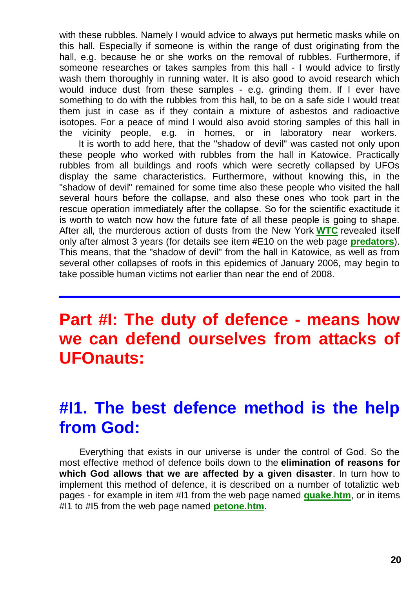with these rubbles. Namely I would advice to always put hermetic masks while on this hall. Especially if someone is within the range of dust originating from the hall, e.g. because he or she works on the removal of rubbles. Furthermore, if someone researches or takes samples from this hall - I would advice to firstly wash them thoroughly in running water. It is also good to avoid research which would induce dust from these samples - e.g. grinding them. If I ever have something to do with the rubbles from this hall, to be on a safe side I would treat them just in case as if they contain a mixture of asbestos and radioactive isotopes. For a peace of mind I would also avoid storing samples of this hall in the vicinity people, e.g. in homes, or in laboratory near workers.

It is worth to add here, that the "shadow of devil" was casted not only upon these people who worked with rubbles from the hall in Katowice. Practically rubbles from all buildings and roofs which were secretly collapsed by UFOs display the same characteristics. Furthermore, without knowing this, in the "shadow of devil" remained for some time also these people who visited the hall several hours before the collapse, and also these ones who took part in the rescue operation immediately after the collapse. So for the scientific exactitude it is worth to watch now how the future fate of all these people is going to shape. After all, the murderous action of dusts from the New York **[WTC](http://totalizm.com.pl/wtc.htm)** revealed itself only after almost 3 years (for details see item #E10 on the web page **[predators](http://totalizm.com.pl/predators.htm)**). This means, that the "shadow of devil" from the hall in Katowice, as well as from several other collapses of roofs in this epidemics of January 2006, may begin to take possible human victims not earlier than near the end of 2008.

## **Part #I: The duty of defence - means how we can defend ourselves from attacks of UFOnauts:**

## **#I1. The best defence method is the help from God:**

Everything that exists in our universe is under the control of God. So the most effective method of defence boils down to the **elimination of reasons for which God allows that we are affected by a given disaster**. In turn how to implement this method of defence, it is described on a number of totaliztic web pages - for example in item #I1 from the web page named **[quake.htm](http://totalizm.com.pl/quake.htm)**, or in items #I1 to #I5 from the web page named **[petone.htm](http://totalizm.com.pl/petone.htm)**.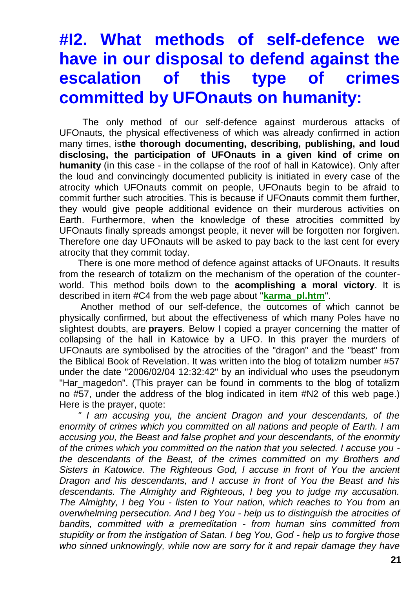# **#I2. What methods of self-defence we have in our disposal to defend against the escalation of this type of crimes committed by UFOnauts on humanity:**

The only method of our self-defence against murderous attacks of UFOnauts, the physical effectiveness of which was already confirmed in action many times, is**the thorough documenting, describing, publishing, and loud disclosing, the participation of UFOnauts in a given kind of crime on humanity** (in this case - in the collapse of the roof of hall in Katowice). Only after the loud and convincingly documented publicity is initiated in every case of the atrocity which UFOnauts commit on people, UFOnauts begin to be afraid to commit further such atrocities. This is because if UFOnauts commit them further, they would give people additional evidence on their murderous activities on Earth. Furthermore, when the knowledge of these atrocities committed by UFOnauts finally spreads amongst people, it never will be forgotten nor forgiven. Therefore one day UFOnauts will be asked to pay back to the last cent for every atrocity that they commit today.

There is one more method of defence against attacks of UFOnauts. It results from the research of totalizm on the mechanism of the operation of the counterworld. This method boils down to the **acomplishing a moral victory**. It is described in item #C4 from the web page about "**[karma\\_pl.htm](http://totalizm.com.pl/karma_pl.htm)**".

Another method of our self-defence, the outcomes of which cannot be physically confirmed, but about the effectiveness of which many Poles have no slightest doubts, are **prayers**. Below I copied a prayer concerning the matter of collapsing of the hall in Katowice by a UFO. In this prayer the murders of UFOnauts are symbolised by the atrocities of the "dragon" and the "beast" from the Biblical Book of Revelation. It was written into the blog of totalizm number #57 under the date "2006/02/04 12:32:42" by an individual who uses the pseudonym "Har\_magedon". (This prayer can be found in comments to the blog of totalizm no #57, under the address of the blog indicated in item #N2 of this web page.) Here is the prayer, quote:

*" I am accusing you, the ancient Dragon and your descendants, of the enormity of crimes which you committed on all nations and people of Earth. I am accusing you, the Beast and false prophet and your descendants, of the enormity of the crimes which you committed on the nation that you selected. I accuse you the descendants of the Beast, of the crimes committed on my Brothers and Sisters in Katowice. The Righteous God, I accuse in front of You the ancient Dragon and his descendants, and I accuse in front of You the Beast and his descendants. The Almighty and Righteous, I beg you to judge my accusation. The Almighty, I beg You - listen to Your nation, which reaches to You from an overwhelming persecution. And I beg You - help us to distinguish the atrocities of bandits, committed with a premeditation - from human sins committed from stupidity or from the instigation of Satan. I beg You, God - help us to forgive those*  who sinned unknowingly, while now are sorry for it and repair damage they have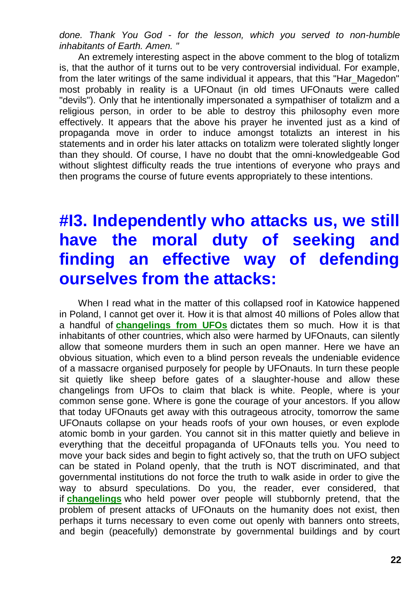*done. Thank You God - for the lesson, which you served to non-humble inhabitants of Earth. Amen. "*

An extremely interesting aspect in the above comment to the blog of totalizm is, that the author of it turns out to be very controversial individual. For example, from the later writings of the same individual it appears, that this "Har\_Magedon" most probably in reality is a UFOnaut (in old times UFOnauts were called "devils"). Only that he intentionally impersonated a sympathiser of totalizm and a religious person, in order to be able to destroy this philosophy even more effectively. It appears that the above his prayer he invented just as a kind of propaganda move in order to induce amongst totalizts an interest in his statements and in order his later attacks on totalizm were tolerated slightly longer than they should. Of course, I have no doubt that the omni-knowledgeable God without slightest difficulty reads the true intentions of everyone who prays and then programs the course of future events appropriately to these intentions.

## **#I3. Independently who attacks us, we still have the moral duty of seeking and finding an effective way of defending ourselves from the attacks:**

When I read what in the matter of this collapsed roof in Katowice happened in Poland, I cannot get over it. How it is that almost 40 millions of Poles allow that a handful of **[changelings from UFOs](http://totalizm.com.pl/changelings.htm)** dictates them so much. How it is that inhabitants of other countries, which also were harmed by UFOnauts, can silently allow that someone murders them in such an open manner. Here we have an obvious situation, which even to a blind person reveals the undeniable evidence of a massacre organised purposely for people by UFOnauts. In turn these people sit quietly like sheep before gates of a slaughter-house and allow these changelings from UFOs to claim that black is white. People, where is your common sense gone. Where is gone the courage of your ancestors. If you allow that today UFOnauts get away with this outrageous atrocity, tomorrow the same UFOnauts collapse on your heads roofs of your own houses, or even explode atomic bomb in your garden. You cannot sit in this matter quietly and believe in everything that the deceitful propaganda of UFOnauts tells you. You need to move your back sides and begin to fight actively so, that the truth on UFO subject can be stated in Poland openly, that the truth is NOT discriminated, and that governmental institutions do not force the truth to walk aside in order to give the way to absurd speculations. Do you, the reader, ever considered, that if **[changelings](http://totalizm.com.pl/changelings.htm)** who held power over people will stubbornly pretend, that the problem of present attacks of UFOnauts on the humanity does not exist, then perhaps it turns necessary to even come out openly with banners onto streets, and begin (peacefully) demonstrate by governmental buildings and by court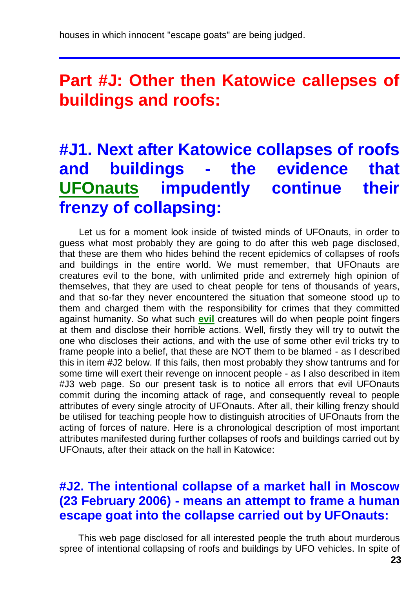#### **Part #J: Other then Katowice callepses of buildings and roofs:**

# **#J1. Next after Katowice collapses of roofs and buildings - the evidence that [UFOnauts](http://totalizm.com.pl/evil.htm) impudently continue their frenzy of collapsing:**

Let us for a moment look inside of twisted minds of UFOnauts, in order to guess what most probably they are going to do after this web page disclosed, that these are them who hides behind the recent epidemics of collapses of roofs and buildings in the entire world. We must remember, that UFOnauts are creatures evil to the bone, with unlimited pride and extremely high opinion of themselves, that they are used to cheat people for tens of thousands of years, and that so-far they never encountered the situation that someone stood up to them and charged them with the responsibility for crimes that they committed against humanity. So what such **[evil](http://totalizm.com.pl/evil.htm)** creatures will do when people point fingers at them and disclose their horrible actions. Well, firstly they will try to outwit the one who discloses their actions, and with the use of some other evil tricks try to frame people into a belief, that these are NOT them to be blamed - as I described this in item #J2 below. If this fails, then most probably they show tantrums and for some time will exert their revenge on innocent people - as I also described in item #J3 web page. So our present task is to notice all errors that evil UFOnauts commit during the incoming attack of rage, and consequently reveal to people attributes of every single atrocity of UFOnauts. After all, their killing frenzy should be utilised for teaching people how to distinguish atrocities of UFOnauts from the acting of forces of nature. Here is a chronological description of most important attributes manifested during further collapses of roofs and buildings carried out by UFOnauts, after their attack on the hall in Katowice:

#### **#J2. The intentional collapse of a market hall in Moscow (23 February 2006) - means an attempt to frame a human escape goat into the collapse carried out by UFOnauts:**

This web page disclosed for all interested people the truth about murderous spree of intentional collapsing of roofs and buildings by UFO vehicles. In spite of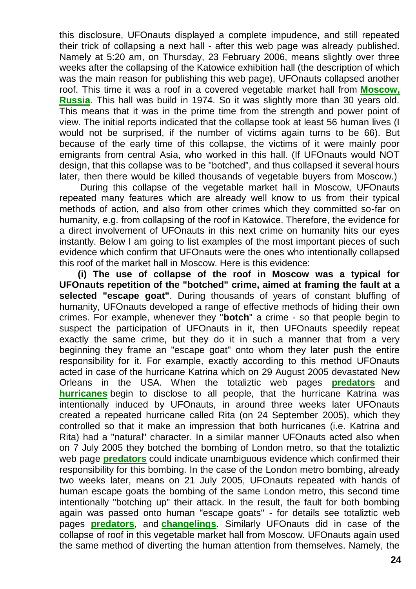this disclosure, UFOnauts displayed a complete impudence, and still repeated their trick of collapsing a next hall - after this web page was already published. Namely at 5:20 am, on Thursday, 23 February 2006, means slightly over three weeks after the collapsing of the Katowice exhibition hall (the description of which was the main reason for publishing this web page), UFOnauts collapsed another roof. This time it was a roof in a covered vegetable market hall from **[Moscow,](http://www.google.com/search?q=roof+collapse+Moscow)  [Russia](http://www.google.com/search?q=roof+collapse+Moscow)**. This hall was build in 1974. So it was slightly more than 30 years old. This means that it was in the prime time from the strength and power point of view. The initial reports indicated that the collapse took at least 56 human lives (I would not be surprised, if the number of victims again turns to be 66). But because of the early time of this collapse, the victims of it were mainly poor emigrants from central Asia, who worked in this hall. (If UFOnauts would NOT design, that this collapse was to be "botched", and thus collapsed it several hours later, then there would be killed thousands of vegetable buyers from Moscow.)

During this collapse of the vegetable market hall in Moscow, UFOnauts repeated many features which are already well know to us from their typical methods of action, and also from other crimes which they committed so-far on humanity, e.g. from collapsing of the roof in Katowice. Therefore, the evidence for a direct involvement of UFOnauts in this next crime on humanity hits our eyes instantly. Below I am going to list examples of the most important pieces of such evidence which confirm that UFOnauts were the ones who intentionally collapsed this roof of the market hall in Moscow. Here is this evidence:

**(i) The use of collapse of the roof in Moscow was a typical for UFOnauts repetition of the "botched" crime, aimed at framing the fault at a selected "escape goat"**. During thousands of years of constant bluffing of humanity, UFOnauts developed a range of effective methods of hiding their own crimes. For example, whenever they "**botch**" a crime - so that people begin to suspect the participation of UFOnauts in it, then UFOnauts speedily repeat exactly the same crime, but they do it in such a manner that from a very beginning they frame an "escape goat" onto whom they later push the entire responsibility for it. For example, exactly according to this method UFOnauts acted in case of the hurricane Katrina which on 29 August 2005 devastated New Orleans in the USA. When the totaliztic web pages **[predators](http://totalizm.com.pl/predators.htm)** and **[hurricanes](http://totalizm.com.pl/hurricane.htm)** begin to disclose to all people, that the hurricane Katrina was intentionally induced by UFOnauts, in around three weeks later UFOnauts created a repeated hurricane called Rita (on 24 September 2005), which they controlled so that it make an impression that both hurricanes (i.e. Katrina and Rita) had a "natural" character. In a similar manner UFOnauts acted also when on 7 July 2005 they botched the bombing of London metro, so that the totaliztic web page **[predators](http://totalizm.com.pl/predators.htm)** could indicate unambiguous evidence which confirmed their responsibility for this bombing. In the case of the London metro bombing, already two weeks later, means on 21 July 2005, UFOnauts repeated with hands of human escape goats the bombing of the same London metro, this second time intentionally "botching up" their attack. In the result, the fault for both bombing again was passed onto human "escape goats" - for details see totaliztic web pages **[predators](http://totalizm.com.pl/predators.htm)**, and **[changelings](http://totalizm.com.pl/changelings.htm)**. Similarly UFOnauts did in case of the collapse of roof in this vegetable market hall from Moscow. UFOnauts again used the same method of diverting the human attention from themselves. Namely, the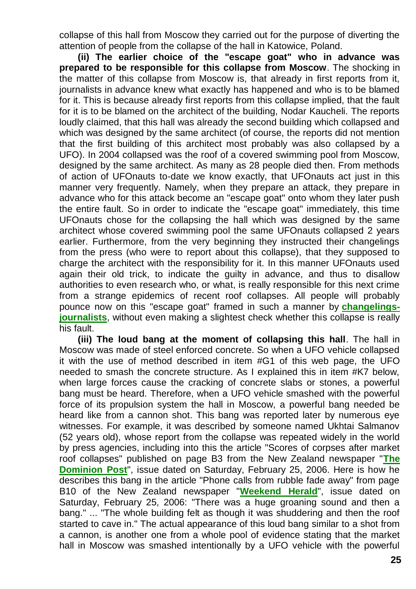collapse of this hall from Moscow they carried out for the purpose of diverting the attention of people from the collapse of the hall in Katowice, Poland.

**(ii) The earlier choice of the "escape goat" who in advance was prepared to be responsible for this collapse from Moscow**. The shocking in the matter of this collapse from Moscow is, that already in first reports from it, journalists in advance knew what exactly has happened and who is to be blamed for it. This is because already first reports from this collapse implied, that the fault for it is to be blamed on the architect of the building, Nodar Kaucheli. The reports loudly claimed, that this hall was already the second building which collapsed and which was designed by the same architect (of course, the reports did not mention that the first building of this architect most probably was also collapsed by a UFO). In 2004 collapsed was the roof of a covered swimming pool from Moscow, designed by the same architect. As many as 28 people died then. From methods of action of UFOnauts to-date we know exactly, that UFOnauts act just in this manner very frequently. Namely, when they prepare an attack, they prepare in advance who for this attack become an "escape goat" onto whom they later push the entire fault. So in order to indicate the "escape goat" immediately, this time UFOnauts chose for the collapsing the hall which was designed by the same architect whose covered swimming pool the same UFOnauts collapsed 2 years earlier. Furthermore, from the very beginning they instructed their changelings from the press (who were to report about this collapse), that they supposed to charge the architect with the responsibility for it. In this manner UFOnauts used again their old trick, to indicate the guilty in advance, and thus to disallow authorities to even research who, or what, is really responsible for this next crime from a strange epidemics of recent roof collapses. All people will probably pounce now on this "escape goat" framed in such a manner by **[changelings](http://totalizm.com.pl/changelings.htm)[journalists](http://totalizm.com.pl/changelings.htm)**, without even making a slightest check whether this collapse is really his fault.

**(iii) The loud bang at the moment of collapsing this hall**. The hall in Moscow was made of steel enforced concrete. So when a UFO vehicle collapsed it with the use of method described in item #G1 of this web page, the UFO needed to smash the concrete structure. As I explained this in item #K7 below, when large forces cause the cracking of concrete slabs or stones, a powerful bang must be heard. Therefore, when a UFO vehicle smashed with the powerful force of its propulsion system the hall in Moscow, a powerful bang needed be heard like from a cannon shot. This bang was reported later by numerous eye witnesses. For example, it was described by someone named Ukhtai Salmanov (52 years old), whose report from the collapse was repeated widely in the world by press agencies, including into this the article "Scores of corpses after market roof collapses" published on page B3 from the New Zealand newspaper "**[The](http://www.dompost.co.nz/)  [Dominion Post](http://www.dompost.co.nz/)**", issue dated on Saturday, February 25, 2006. Here is how he describes this bang in the article "Phone calls from rubble fade away" from page B10 of the New Zealand newspaper "**[Weekend Herald](http://www.nzherald.co.nz/)**", issue dated on Saturday, February 25, 2006: "There was a huge groaning sound and then a bang." ... "The whole building felt as though it was shuddering and then the roof started to cave in." The actual appearance of this loud bang similar to a shot from a cannon, is another one from a whole pool of evidence stating that the market hall in Moscow was smashed intentionally by a UFO vehicle with the powerful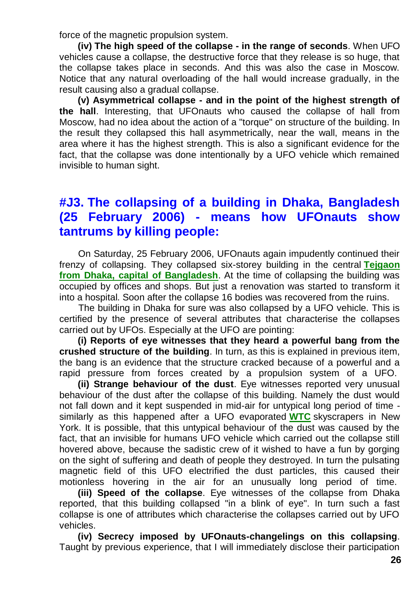force of the magnetic propulsion system.

**(iv) The high speed of the collapse - in the range of seconds**. When UFO vehicles cause a collapse, the destructive force that they release is so huge, that the collapse takes place in seconds. And this was also the case in Moscow. Notice that any natural overloading of the hall would increase gradually, in the result causing also a gradual collapse.

**(v) Asymmetrical collapse - and in the point of the highest strength of the hall**. Interesting, that UFOnauts who caused the collapse of hall from Moscow, had no idea about the action of a "torque" on structure of the building. In the result they collapsed this hall asymmetrically, near the wall, means in the area where it has the highest strength. This is also a significant evidence for the fact, that the collapse was done intentionally by a UFO vehicle which remained invisible to human sight.

#### **#J3. The collapsing of a building in Dhaka, Bangladesh (25 February 2006) - means how UFOnauts show tantrums by killing people:**

On Saturday, 25 February 2006, UFOnauts again impudently continued their frenzy of collapsing. They collapsed six-storey building in the central **[Tejgaon](http://www.google.com/search?q=roof+collapse+Dhaka)  [from Dhaka, capital of Bangladesh](http://www.google.com/search?q=roof+collapse+Dhaka)**. At the time of collapsing the building was occupied by offices and shops. But just a renovation was started to transform it into a hospital. Soon after the collapse 16 bodies was recovered from the ruins.

The building in Dhaka for sure was also collapsed by a UFO vehicle. This is certified by the presence of several attributes that characterise the collapses carried out by UFOs. Especially at the UFO are pointing:

**(i) Reports of eye witnesses that they heard a powerful bang from the crushed structure of the building**. In turn, as this is explained in previous item, the bang is an evidence that the structure cracked because of a powerful and a rapid pressure from forces created by a propulsion system of a UFO.

**(ii) Strange behaviour of the dust**. Eye witnesses reported very unusual behaviour of the dust after the collapse of this building. Namely the dust would not fall down and it kept suspended in mid-air for untypical long period of time similarly as this happened after a UFO evaporated **[WTC](http://totalizm.com.pl/wtc.htm)** skyscrapers in New York. It is possible, that this untypical behaviour of the dust was caused by the fact, that an invisible for humans UFO vehicle which carried out the collapse still hovered above, because the sadistic crew of it wished to have a fun by gorging on the sight of suffering and death of people they destroyed. In turn the pulsating magnetic field of this UFO electrified the dust particles, this caused their motionless hovering in the air for an unusually long period of time.

**(iii) Speed of the collapse**. Eye witnesses of the collapse from Dhaka reported, that this building collapsed "in a blink of eye". In turn such a fast collapse is one of attributes which characterise the collapses carried out by UFO vehicles.

**(iv) Secrecy imposed by UFOnauts-changelings on this collapsing**. Taught by previous experience, that I will immediately disclose their participation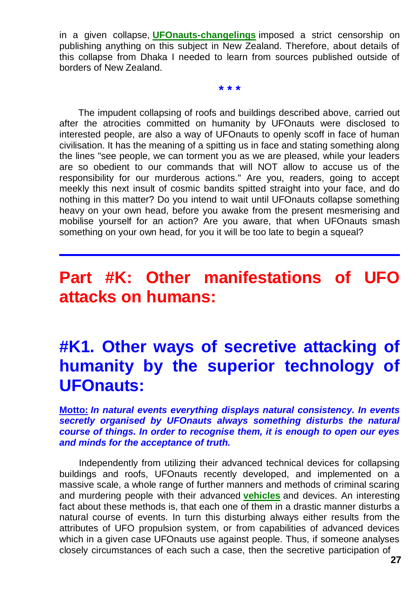in a given collapse, **[UFOnauts-changelings](http://totalizm.com.pl/changelings.htm)** imposed a strict censorship on publishing anything on this subject in New Zealand. Therefore, about details of this collapse from Dhaka I needed to learn from sources published outside of borders of New Zealand.

**\* \* \***

The impudent collapsing of roofs and buildings described above, carried out after the atrocities committed on humanity by UFOnauts were disclosed to interested people, are also a way of UFOnauts to openly scoff in face of human civilisation. It has the meaning of a spitting us in face and stating something along the lines "see people, we can torment you as we are pleased, while your leaders are so obedient to our commands that will NOT allow to accuse us of the responsibility for our murderous actions." Are you, readers, going to accept meekly this next insult of cosmic bandits spitted straight into your face, and do nothing in this matter? Do you intend to wait until UFOnauts collapse something heavy on your own head, before you awake from the present mesmerising and mobilise yourself for an action? Are you aware, that when UFOnauts smash something on your own head, for you it will be too late to begin a squeal?

## **Part #K: Other manifestations of UFO attacks on humans:**

## **#K1. Other ways of secretive attacking of humanity by the superior technology of UFOnauts:**

**Motto:** *In natural events everything displays natural consistency. In events secretly organised by UFOnauts always something disturbs the natural course of things. In order to recognise them, it is enough to open our eyes and minds for the acceptance of truth.*

Independently from utilizing their advanced technical devices for collapsing buildings and roofs, UFOnauts recently developed, and implemented on a massive scale, a whole range of further manners and methods of criminal scaring and murdering people with their advanced **[vehicles](http://totalizm.com.pl/military_magnocraft.htm)** and devices. An interesting fact about these methods is, that each one of them in a drastic manner disturbs a natural course of events. In turn this disturbing always either results from the attributes of UFO propulsion system, or from capabilities of advanced devices which in a given case UFOnauts use against people. Thus, if someone analyses closely circumstances of each such a case, then the secretive participation of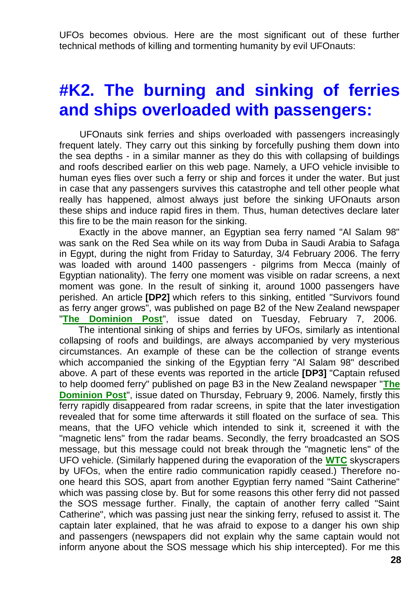UFOs becomes obvious. Here are the most significant out of these further technical methods of killing and tormenting humanity by evil UFOnauts:

## **#K2. The burning and sinking of ferries and ships overloaded with passengers:**

UFOnauts sink ferries and ships overloaded with passengers increasingly frequent lately. They carry out this sinking by forcefully pushing them down into the sea depths - in a similar manner as they do this with collapsing of buildings and roofs described earlier on this web page. Namely, a UFO vehicle invisible to human eyes flies over such a ferry or ship and forces it under the water. But just in case that any passengers survives this catastrophe and tell other people what really has happened, almost always just before the sinking UFOnauts arson these ships and induce rapid fires in them. Thus, human detectives declare later this fire to be the main reason for the sinking.

Exactly in the above manner, an Egyptian sea ferry named "Al Salam 98" was sank on the Red Sea while on its way from Duba in Saudi Arabia to Safaga in Egypt, during the night from Friday to Saturday, 3/4 February 2006. The ferry was loaded with around 1400 passengers - pilgrims from Mecca (mainly of Egyptian nationality). The ferry one moment was visible on radar screens, a next moment was gone. In the result of sinking it, around 1000 passengers have perished. An article **[DP2]** which refers to this sinking, entitled "Survivors found as ferry anger grows", was published on page B2 of the New Zealand newspaper "**[The Dominion Post](http://www.dompost.co.nz/)**", issue dated on Tuesday, February 7, 2006.

The intentional sinking of ships and ferries by UFOs, similarly as intentional collapsing of roofs and buildings, are always accompanied by very mysterious circumstances. An example of these can be the collection of strange events which accompanied the sinking of the Egyptian ferry "Al Salam 98" described above. A part of these events was reported in the article **[DP3]** "Captain refused to help doomed ferry" published on page B3 in the New Zealand newspaper "**[The](http://www.dompost.co.nz/)  [Dominion Post](http://www.dompost.co.nz/)**", issue dated on Thursday, February 9, 2006. Namely, firstly this ferry rapidly disappeared from radar screens, in spite that the later investigation revealed that for some time afterwards it still floated on the surface of sea. This means, that the UFO vehicle which intended to sink it, screened it with the "magnetic lens" from the radar beams. Secondly, the ferry broadcasted an SOS message, but this message could not break through the "magnetic lens" of the UFO vehicle. (Similarly happened during the evaporation of the **[WTC](http://totalizm.com.pl/wtc.htm)** skyscrapers by UFOs, when the entire radio communication rapidly ceased.) Therefore noone heard this SOS, apart from another Egyptian ferry named "Saint Catherine" which was passing close by. But for some reasons this other ferry did not passed the SOS message further. Finally, the captain of another ferry called "Saint Catherine", which was passing just near the sinking ferry, refused to assist it. The captain later explained, that he was afraid to expose to a danger his own ship and passengers (newspapers did not explain why the same captain would not inform anyone about the SOS message which his ship intercepted). For me this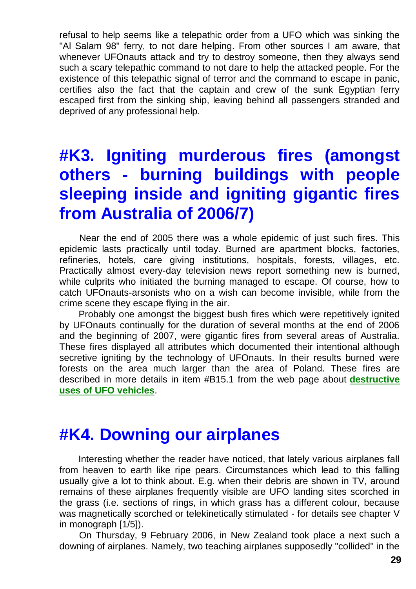refusal to help seems like a telepathic order from a UFO which was sinking the "Al Salam 98" ferry, to not dare helping. From other sources I am aware, that whenever UFOnauts attack and try to destroy someone, then they always send such a scary telepathic command to not dare to help the attacked people. For the existence of this telepathic signal of terror and the command to escape in panic, certifies also the fact that the captain and crew of the sunk Egyptian ferry escaped first from the sinking ship, leaving behind all passengers stranded and deprived of any professional help.

# **#K3. Igniting murderous fires (amongst others - burning buildings with people sleeping inside and igniting gigantic fires from Australia of 2006/7)**

Near the end of 2005 there was a whole epidemic of just such fires. This epidemic lasts practically until today. Burned are apartment blocks, factories, refineries, hotels, care giving institutions, hospitals, forests, villages, etc. Practically almost every-day television news report something new is burned, while culprits who initiated the burning managed to escape. Of course, how to catch UFOnauts-arsonists who on a wish can become invisible, while from the crime scene they escape flying in the air.

Probably one amongst the biggest bush fires which were repetitively ignited by UFOnauts continually for the duration of several months at the end of 2006 and the beginning of 2007, were gigantic fires from several areas of Australia. These fires displayed all attributes which documented their intentional although secretive igniting by the technology of UFOnauts. In their results burned were forests on the area much larger than the area of Poland. These fires are described in more details in item #B15.1 from the web page about **[destructive](http://totalizm.com.pl/military_magnocraft.htm)  [uses of UFO vehicles](http://totalizm.com.pl/military_magnocraft.htm)**.

#### **#K4. Downing our airplanes**

Interesting whether the reader have noticed, that lately various airplanes fall from heaven to earth like ripe pears. Circumstances which lead to this falling usually give a lot to think about. E.g. when their debris are shown in TV, around remains of these airplanes frequently visible are UFO landing sites scorched in the grass (i.e. sections of rings, in which grass has a different colour, because was magnetically scorched or telekinetically stimulated - for details see chapter V in monograph [1/5]).

On Thursday, 9 February 2006, in New Zealand took place a next such a downing of airplanes. Namely, two teaching airplanes supposedly "collided" in the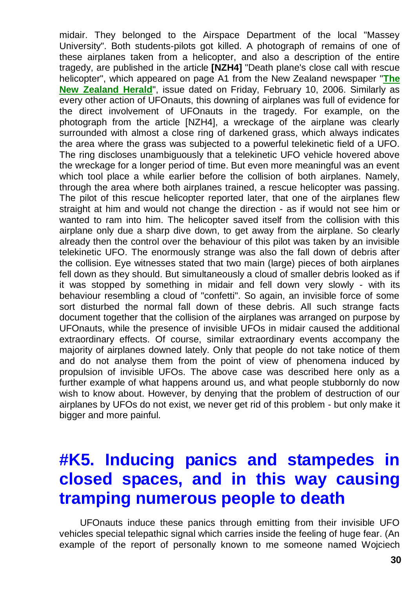midair. They belonged to the Airspace Department of the local "Massey University". Both students-pilots got killed. A photograph of remains of one of these airplanes taken from a helicopter, and also a description of the entire tragedy, are published in the article **[NZH4]** "Death plane's close call with rescue helicopter", which appeared on page A1 from the New Zealand newspaper "**[The](http://www.nzherald.co.nz/world)  [New Zealand Herald](http://www.nzherald.co.nz/world)**", issue dated on Friday, February 10, 2006. Similarly as every other action of UFOnauts, this downing of airplanes was full of evidence for the direct involvement of UFOnauts in the tragedy. For example, on the photograph from the article [NZH4], a wreckage of the airplane was clearly surrounded with almost a close ring of darkened grass, which always indicates the area where the grass was subjected to a powerful telekinetic field of a UFO. The ring discloses unambiguously that a telekinetic UFO vehicle hovered above the wreckage for a longer period of time. But even more meaningful was an event which tool place a while earlier before the collision of both airplanes. Namely, through the area where both airplanes trained, a rescue helicopter was passing. The pilot of this rescue helicopter reported later, that one of the airplanes flew straight at him and would not change the direction - as if would not see him or wanted to ram into him. The helicopter saved itself from the collision with this airplane only due a sharp dive down, to get away from the airplane. So clearly already then the control over the behaviour of this pilot was taken by an invisible telekinetic UFO. The enormously strange was also the fall down of debris after the collision. Eye witnesses stated that two main (large) pieces of both airplanes fell down as they should. But simultaneously a cloud of smaller debris looked as if it was stopped by something in midair and fell down very slowly - with its behaviour resembling a cloud of "confetti". So again, an invisible force of some sort disturbed the normal fall down of these debris. All such strange facts document together that the collision of the airplanes was arranged on purpose by UFOnauts, while the presence of invisible UFOs in midair caused the additional extraordinary effects. Of course, similar extraordinary events accompany the majority of airplanes downed lately. Only that people do not take notice of them and do not analyse them from the point of view of phenomena induced by propulsion of invisible UFOs. The above case was described here only as a further example of what happens around us, and what people stubbornly do now wish to know about. However, by denying that the problem of destruction of our airplanes by UFOs do not exist, we never get rid of this problem - but only make it bigger and more painful.

## **#K5. Inducing panics and stampedes in closed spaces, and in this way causing tramping numerous people to death**

UFOnauts induce these panics through emitting from their invisible UFO vehicles special telepathic signal which carries inside the feeling of huge fear. (An example of the report of personally known to me someone named Wojciech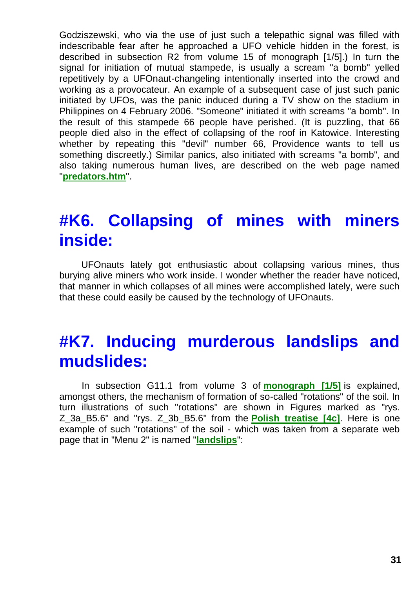Godziszewski, who via the use of just such a telepathic signal was filled with indescribable fear after he approached a UFO vehicle hidden in the forest, is described in subsection R2 from volume 15 of monograph [1/5].) In turn the signal for initiation of mutual stampede, is usually a scream "a bomb" yelled repetitively by a UFOnaut-changeling intentionally inserted into the crowd and working as a provocateur. An example of a subsequent case of just such panic initiated by UFOs, was the panic induced during a TV show on the stadium in Philippines on 4 February 2006. "Someone" initiated it with screams "a bomb". In the result of this stampede 66 people have perished. (It is puzzling, that 66 people died also in the effect of collapsing of the roof in Katowice. Interesting whether by repeating this "devil" number 66, Providence wants to tell us something discreetly.) Similar panics, also initiated with screams "a bomb", and also taking numerous human lives, are described on the web page named "**[predators.htm](http://totalizm.com.pl/predators.htm)**".

## **#K6. Collapsing of mines with miners inside:**

UFOnauts lately got enthusiastic about collapsing various mines, thus burying alive miners who work inside. I wonder whether the reader have noticed, that manner in which collapses of all mines were accomplished lately, were such that these could easily be caused by the technology of UFOnauts.

### **#K7. Inducing murderous landslips and mudslides:**

In subsection G11.1 from volume 3 of **[monograph \[1/5\]](http://totalizm.com.pl/text_1_5.htm)** is explained, amongst others, the mechanism of formation of so-called "rotations" of the soil. In turn illustrations of such "rotations" are shown in Figures marked as "rys. Z\_3a\_B5.6" and "rys. Z\_3b\_B5.6" from the **[Polish treatise \[4c\]](http://totalizm.com.pl/tekst_4c_2.htm)**. Here is one example of such "rotations" of the soil - which was taken from a separate web page that in "Menu 2" is named "**[landslips](http://totalizm.com.pl/landslips.htm)**":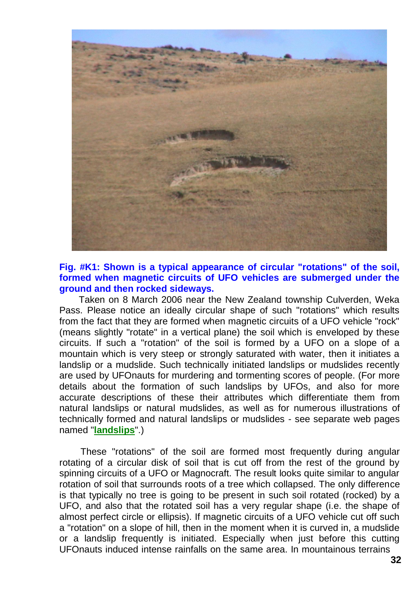

#### **Fig. #K1: Shown is a typical appearance of circular "rotations" of the soil, formed when magnetic circuits of UFO vehicles are submerged under the ground and then rocked sideways.**

Taken on 8 March 2006 near the New Zealand township Culverden, Weka Pass. Please notice an ideally circular shape of such "rotations" which results from the fact that they are formed when magnetic circuits of a UFO vehicle "rock" (means slightly "rotate" in a vertical plane) the soil which is enveloped by these circuits. If such a "rotation" of the soil is formed by a UFO on a slope of a mountain which is very steep or strongly saturated with water, then it initiates a landslip or a mudslide. Such technically initiated landslips or mudslides recently are used by UFOnauts for murdering and tormenting scores of people. (For more details about the formation of such landslips by UFOs, and also for more accurate descriptions of these their attributes which differentiate them from natural landslips or natural mudslides, as well as for numerous illustrations of technically formed and natural landslips or mudslides - see separate web pages named "**[landslips](http://totalizm.com.pl/landslips.htm)**".)

These "rotations" of the soil are formed most frequently during angular rotating of a circular disk of soil that is cut off from the rest of the ground by spinning circuits of a UFO or Magnocraft. The result looks quite similar to angular rotation of soil that surrounds roots of a tree which collapsed. The only difference is that typically no tree is going to be present in such soil rotated (rocked) by a UFO, and also that the rotated soil has a very regular shape (i.e. the shape of almost perfect circle or ellipsis). If magnetic circuits of a UFO vehicle cut off such a "rotation" on a slope of hill, then in the moment when it is curved in, a mudslide or a landslip frequently is initiated. Especially when just before this cutting UFOnauts induced intense rainfalls on the same area. In mountainous terrains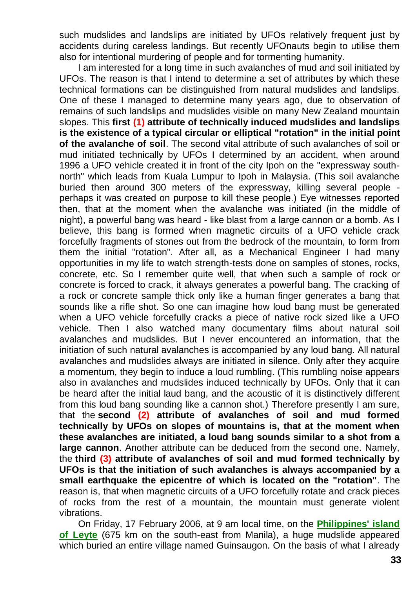such mudslides and landslips are initiated by UFOs relatively frequent just by accidents during careless landings. But recently UFOnauts begin to utilise them also for intentional murdering of people and for tormenting humanity.

I am interested for a long time in such avalanches of mud and soil initiated by UFOs. The reason is that I intend to determine a set of attributes by which these technical formations can be distinguished from natural mudslides and landslips. One of these I managed to determine many years ago, due to observation of remains of such landslips and mudslides visible on many New Zealand mountain slopes. This **first (1) attribute of technically induced mudslides and landslips is the existence of a typical circular or elliptical "rotation" in the initial point of the avalanche of soil**. The second vital attribute of such avalanches of soil or mud initiated technically by UFOs I determined by an accident, when around 1996 a UFO vehicle created it in front of the city Ipoh on the "expressway southnorth" which leads from Kuala Lumpur to Ipoh in Malaysia. (This soil avalanche buried then around 300 meters of the expressway, killing several people perhaps it was created on purpose to kill these people.) Eye witnesses reported then, that at the moment when the avalanche was initiated (in the middle of night), a powerful bang was heard - like blast from a large cannon or a bomb. As I believe, this bang is formed when magnetic circuits of a UFO vehicle crack forcefully fragments of stones out from the bedrock of the mountain, to form from them the initial "rotation". After all, as a Mechanical Engineer I had many opportunities in my life to watch strength-tests done on samples of stones, rocks, concrete, etc. So I remember quite well, that when such a sample of rock or concrete is forced to crack, it always generates a powerful bang. The cracking of a rock or concrete sample thick only like a human finger generates a bang that sounds like a rifle shot. So one can imagine how loud bang must be generated when a UFO vehicle forcefully cracks a piece of native rock sized like a UFO vehicle. Then I also watched many documentary films about natural soil avalanches and mudslides. But I never encountered an information, that the initiation of such natural avalanches is accompanied by any loud bang. All natural avalanches and mudslides always are initiated in silence. Only after they acquire a momentum, they begin to induce a loud rumbling. (This rumbling noise appears also in avalanches and mudslides induced technically by UFOs. Only that it can be heard after the initial laud bang, and the acoustic of it is distinctively different from this loud bang sounding like a cannon shot.) Therefore presently I am sure, that the **second (2) attribute of avalanches of soil and mud formed technically by UFOs on slopes of mountains is, that at the moment when these avalanches are initiated, a loud bang sounds similar to a shot from a large cannon**. Another attribute can be deduced from the second one. Namely, the **third (3) attribute of avalanches of soil and mud formed technically by UFOs is that the initiation of such avalanches is always accompanied by a small earthquake the epicentre of which is located on the "rotation"**. The reason is, that when magnetic circuits of a UFO forcefully rotate and crack pieces of rocks from the rest of a mountain, the mountain must generate violent vibrations.

On Friday, 17 February 2006, at 9 am local time, on the **[Philippines' island](http://www.google.com/search?q=mudslide+Philippines+Leyte)  [of Leyte](http://www.google.com/search?q=mudslide+Philippines+Leyte)** (675 km on the south-east from Manila), a huge mudslide appeared which buried an entire village named Guinsaugon. On the basis of what I already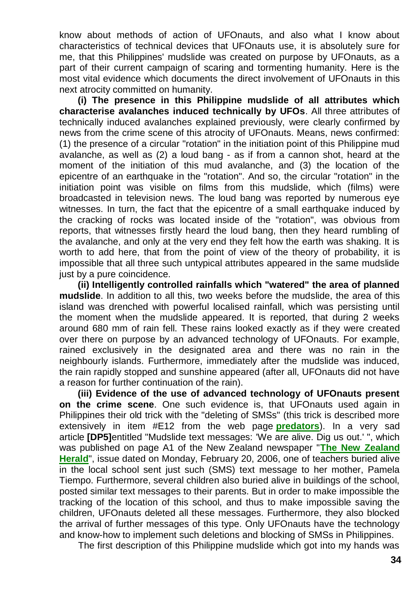know about methods of action of UFOnauts, and also what I know about characteristics of technical devices that UFOnauts use, it is absolutely sure for me, that this Philippines' mudslide was created on purpose by UFOnauts, as a part of their current campaign of scaring and tormenting humanity. Here is the most vital evidence which documents the direct involvement of UFOnauts in this next atrocity committed on humanity.

**(i) The presence in this Philippine mudslide of all attributes which characterise avalanches induced technically by UFOs**. All three attributes of technically induced avalanches explained previously, were clearly confirmed by news from the crime scene of this atrocity of UFOnauts. Means, news confirmed: (1) the presence of a circular "rotation" in the initiation point of this Philippine mud avalanche, as well as (2) a loud bang - as if from a cannon shot, heard at the moment of the initiation of this mud avalanche, and (3) the location of the epicentre of an earthquake in the "rotation". And so, the circular "rotation" in the initiation point was visible on films from this mudslide, which (films) were broadcasted in television news. The loud bang was reported by numerous eye witnesses. In turn, the fact that the epicentre of a small earthquake induced by the cracking of rocks was located inside of the "rotation", was obvious from reports, that witnesses firstly heard the loud bang, then they heard rumbling of the avalanche, and only at the very end they felt how the earth was shaking. It is worth to add here, that from the point of view of the theory of probability, it is impossible that all three such untypical attributes appeared in the same mudslide just by a pure coincidence.

**(ii) Intelligently controlled rainfalls which "watered" the area of planned mudslide**. In addition to all this, two weeks before the mudslide, the area of this island was drenched with powerful localised rainfall, which was persisting until the moment when the mudslide appeared. It is reported, that during 2 weeks around 680 mm of rain fell. These rains looked exactly as if they were created over there on purpose by an advanced technology of UFOnauts. For example, rained exclusively in the designated area and there was no rain in the neighbourly islands. Furthermore, immediately after the mudslide was induced, the rain rapidly stopped and sunshine appeared (after all, UFOnauts did not have a reason for further continuation of the rain).

**(iii) Evidence of the use of advanced technology of UFOnauts present on the crime scene**. One such evidence is, that UFOnauts used again in Philippines their old trick with the "deleting of SMSs" (this trick is described more extensively in item #E12 from the web page **[predators](http://totalizm.com.pl/predators.htm)**). In a very sad article **[DP5]**entitled "Mudslide text messages: 'We are alive. Dig us out.' ", which was published on page A1 of the New Zealand newspaper "**[The New Zealand](http://www.nzherald.co.nz/world)  [Herald](http://www.nzherald.co.nz/world)**", issue dated on Monday, February 20, 2006, one of teachers buried alive in the local school sent just such (SMS) text message to her mother, Pamela Tiempo. Furthermore, several children also buried alive in buildings of the school, posted similar text messages to their parents. But in order to make impossible the tracking of the location of this school, and thus to make impossible saving the children, UFOnauts deleted all these messages. Furthermore, they also blocked the arrival of further messages of this type. Only UFOnauts have the technology and know-how to implement such deletions and blocking of SMSs in Philippines.

The first description of this Philippine mudslide which got into my hands was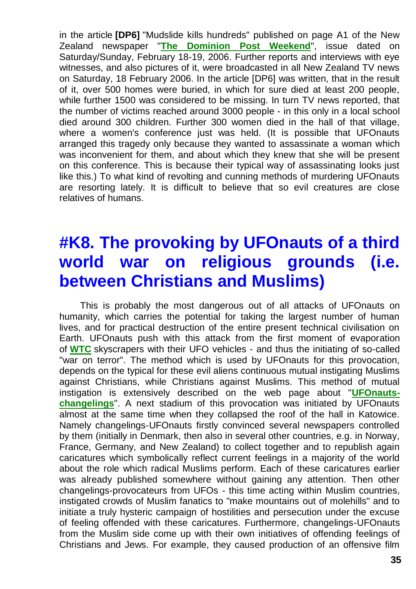in the article **[DP6]** "Mudslide kills hundreds" published on page A1 of the New Zealand newspaper "**[The Dominion Post Weekend](http://www.dompost.co.nz/)**", issue dated on Saturday/Sunday, February 18-19, 2006. Further reports and interviews with eye witnesses, and also pictures of it, were broadcasted in all New Zealand TV news on Saturday, 18 February 2006. In the article [DP6] was written, that in the result of it, over 500 homes were buried, in which for sure died at least 200 people, while further 1500 was considered to be missing. In turn TV news reported, that the number of victims reached around 3000 people - in this only in a local school died around 300 children. Further 300 women died in the hall of that village, where a women's conference just was held. (It is possible that UFOnauts arranged this tragedy only because they wanted to assassinate a woman which was inconvenient for them, and about which they knew that she will be present on this conference. This is because their typical way of assassinating looks just like this.) To what kind of revolting and cunning methods of murdering UFOnauts are resorting lately. It is difficult to believe that so evil creatures are close relatives of humans.

# **#K8. The provoking by UFOnauts of a third world war on religious grounds (i.e. between Christians and Muslims)**

This is probably the most dangerous out of all attacks of UFOnauts on humanity, which carries the potential for taking the largest number of human lives, and for practical destruction of the entire present technical civilisation on Earth. UFOnauts push with this attack from the first moment of evaporation of **[WTC](http://totalizm.com.pl/wtc.htm)** skyscrapers with their UFO vehicles - and thus the initiating of so-called "war on terror". The method which is used by UFOnauts for this provocation, depends on the typical for these evil aliens continuous mutual instigating Muslims against Christians, while Christians against Muslims. This method of mutual instigation is extensively described on the web page about "**[UFOnauts](http://totalizm.com.pl/changelings.htm)[changelings](http://totalizm.com.pl/changelings.htm)**". A next stadium of this provocation was initiated by UFOnauts almost at the same time when they collapsed the roof of the hall in Katowice. Namely changelings-UFOnauts firstly convinced several newspapers controlled by them (initially in Denmark, then also in several other countries, e.g. in Norway, France, Germany, and New Zealand) to collect together and to republish again caricatures which symbolically reflect current feelings in a majority of the world about the role which radical Muslims perform. Each of these caricatures earlier was already published somewhere without gaining any attention. Then other changelings-provocateurs from UFOs - this time acting within Muslim countries, instigated crowds of Muslim fanatics to "make mountains out of molehills" and to initiate a truly hysteric campaign of hostilities and persecution under the excuse of feeling offended with these caricatures. Furthermore, changelings-UFOnauts from the Muslim side come up with their own initiatives of offending feelings of Christians and Jews. For example, they caused production of an offensive film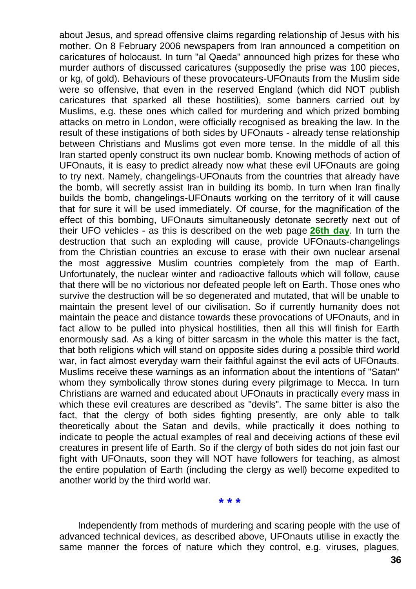about Jesus, and spread offensive claims regarding relationship of Jesus with his mother. On 8 February 2006 newspapers from Iran announced a competition on caricatures of holocaust. In turn "al Qaeda" announced high prizes for these who murder authors of discussed caricatures (supposedly the prise was 100 pieces, or kg, of gold). Behaviours of these provocateurs-UFOnauts from the Muslim side were so offensive, that even in the reserved England (which did NOT publish caricatures that sparked all these hostilities), some banners carried out by Muslims, e.g. these ones which called for murdering and which prized bombing attacks on metro in London, were officially recognised as breaking the law. In the result of these instigations of both sides by UFOnauts - already tense relationship between Christians and Muslims got even more tense. In the middle of all this Iran started openly construct its own nuclear bomb. Knowing methods of action of UFOnauts, it is easy to predict already now what these evil UFOnauts are going to try next. Namely, changelings-UFOnauts from the countries that already have the bomb, will secretly assist Iran in building its bomb. In turn when Iran finally builds the bomb, changelings-UFOnauts working on the territory of it will cause that for sure it will be used immediately. Of course, for the magnification of the effect of this bombing, UFOnauts simultaneously detonate secretly next out of their UFO vehicles - as this is described on the web page **[26th day](http://totalizm.com.pl/day26.htm)**. In turn the destruction that such an exploding will cause, provide UFOnauts-changelings from the Christian countries an excuse to erase with their own nuclear arsenal the most aggressive Muslim countries completely from the map of Earth. Unfortunately, the nuclear winter and radioactive fallouts which will follow, cause that there will be no victorious nor defeated people left on Earth. Those ones who survive the destruction will be so degenerated and mutated, that will be unable to maintain the present level of our civilisation. So if currently humanity does not maintain the peace and distance towards these provocations of UFOnauts, and in fact allow to be pulled into physical hostilities, then all this will finish for Earth enormously sad. As a king of bitter sarcasm in the whole this matter is the fact, that both religions which will stand on opposite sides during a possible third world war, in fact almost everyday warn their faithful against the evil acts of UFOnauts. Muslims receive these warnings as an information about the intentions of "Satan" whom they symbolically throw stones during every pilgrimage to Mecca. In turn Christians are warned and educated about UFOnauts in practically every mass in which these evil creatures are described as "devils". The same bitter is also the fact, that the clergy of both sides fighting presently, are only able to talk theoretically about the Satan and devils, while practically it does nothing to indicate to people the actual examples of real and deceiving actions of these evil creatures in present life of Earth. So if the clergy of both sides do not join fast our fight with UFOnauts, soon they will NOT have followers for teaching, as almost the entire population of Earth (including the clergy as well) become expedited to another world by the third world war.

**\* \* \***

Independently from methods of murdering and scaring people with the use of advanced technical devices, as described above, UFOnauts utilise in exactly the same manner the forces of nature which they control, e.g. viruses, plagues,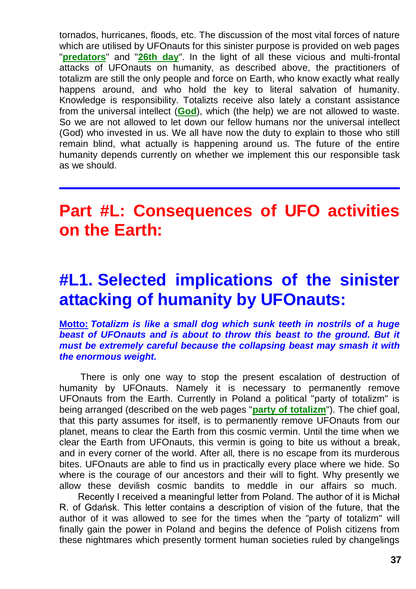tornados, hurricanes, floods, etc. The discussion of the most vital forces of nature which are utilised by UFOnauts for this sinister purpose is provided on web pages "**[predators](http://totalizm.com.pl/predators.htm)**" and "**[26th day](http://totalizm.com.pl/day26.htm)**". In the light of all these vicious and multi-frontal attacks of UFOnauts on humanity, as described above, the practitioners of totalizm are still the only people and force on Earth, who know exactly what really happens around, and who hold the key to literal salvation of humanity. Knowledge is responsibility. Totalizts receive also lately a constant assistance from the universal intellect (**[God](http://totalizm.com.pl/god.htm)**), which (the help) we are not allowed to waste. So we are not allowed to let down our fellow humans nor the universal intellect (God) who invested in us. We all have now the duty to explain to those who still remain blind, what actually is happening around us. The future of the entire humanity depends currently on whether we implement this our responsible task as we should.

### **Part #L: Consequences of UFO activities on the Earth:**

### **#L1. Selected implications of the sinister attacking of humanity by UFOnauts:**

#### **Motto:** *Totalizm is like a small dog which sunk teeth in nostrils of a huge beast of UFOnauts and is about to throw this beast to the ground. But it must be extremely careful because the collapsing beast may smash it with the enormous weight.*

There is only one way to stop the present escalation of destruction of humanity by UFOnauts. Namely it is necessary to permanently remove UFOnauts from the Earth. Currently in Poland a political "party of totalizm" is being arranged (described on the web pages "**[party of totalizm](http://totalizm.com.pl/partia_totalizmu_uk.htm)**"). The chief goal, that this party assumes for itself, is to permanently remove UFOnauts from our planet, means to clear the Earth from this cosmic vermin. Until the time when we clear the Earth from UFOnauts, this vermin is going to bite us without a break, and in every corner of the world. After all, there is no escape from its murderous bites. UFOnauts are able to find us in practically every place where we hide. So where is the courage of our ancestors and their will to fight. Why presently we allow these devilish cosmic bandits to meddle in our affairs so much.

Recently I received a meaningful letter from Poland. The author of it is Michał R. of Gdańsk. This letter contains a description of vision of the future, that the author of it was allowed to see for the times when the "party of totalizm" will finally gain the power in Poland and begins the defence of Polish citizens from these nightmares which presently torment human societies ruled by changelings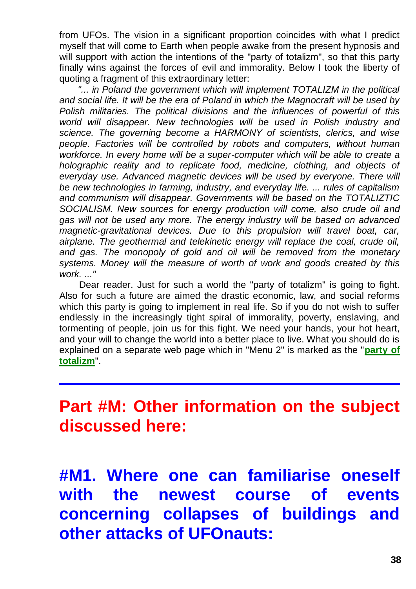from UFOs. The vision in a significant proportion coincides with what I predict myself that will come to Earth when people awake from the present hypnosis and will support with action the intentions of the "party of totalizm", so that this party finally wins against the forces of evil and immorality. Below I took the liberty of quoting a fragment of this extraordinary letter:

"... in Poland the government which will implement TOTALIZM in the political *and social life. It will be the era of Poland in which the Magnocraft will be used by Polish militaries. The political divisions and the influences of powerful of this world will disappear. New technologies will be used in Polish industry and science. The governing become a HARMONY of scientists, clerics, and wise people. Factories will be controlled by robots and computers, without human workforce. In every home will be a super-computer which will be able to create a holographic reality and to replicate food, medicine, clothing, and objects of everyday use. Advanced magnetic devices will be used by everyone. There will be new technologies in farming, industry, and everyday life. ... rules of capitalism and communism will disappear. Governments will be based on the TOTALIZTIC SOCIALISM. New sources for energy production will come, also crude oil and gas will not be used any more. The energy industry will be based on advanced magnetic-gravitational devices. Due to this propulsion will travel boat, car, airplane. The geothermal and telekinetic energy will replace the coal, crude oil, and gas. The monopoly of gold and oil will be removed from the monetary systems. Money will the measure of worth of work and goods created by this work. ..."*

Dear reader. Just for such a world the "party of totalizm" is going to fight. Also for such a future are aimed the drastic economic, law, and social reforms which this party is going to implement in real life. So if you do not wish to suffer endlessly in the increasingly tight spiral of immorality, poverty, enslaving, and tormenting of people, join us for this fight. We need your hands, your hot heart, and your will to change the world into a better place to live. What you should do is explained on a separate web page which in "Menu 2" is marked as the "**[party of](http://totalizm.com.pl/partia_totalizmu_uk.htm)  [totalizm](http://totalizm.com.pl/partia_totalizmu_uk.htm)**".

### **Part #M: Other information on the subject discussed here:**

**#M1. Where one can familiarise oneself with the newest course of events concerning collapses of buildings and other attacks of UFOnauts:**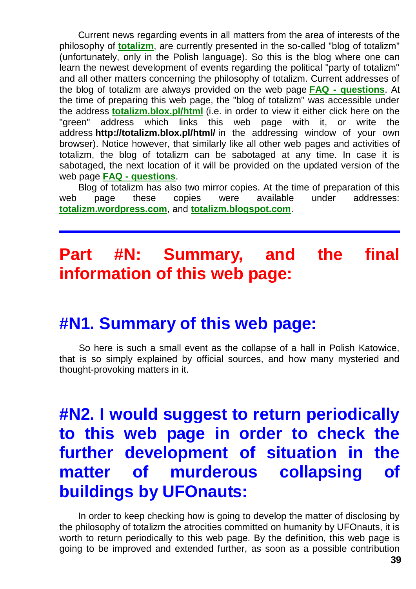Current news regarding events in all matters from the area of interests of the philosophy of **[totalizm](http://totalizm.com.pl/totalizm.htm)**, are currently presented in the so-called "blog of totalizm" (unfortunately, only in the Polish language). So this is the blog where one can learn the newest development of events regarding the political "party of totalizm" and all other matters concerning the philosophy of totalizm. Current addresses of the blog of totalizm are always provided on the web page **FAQ - [questions](http://totalizm.com.pl/faq.htm)**. At the time of preparing this web page, the "blog of totalizm" was accessible under the address **[totalizm.blox.pl/html](http://totalizm.blox.pl/html/)** (i.e. in order to view it either click here on the "green" address which links this web page with it, or write the address **http://totalizm.blox.pl/html/** in the addressing window of your own browser). Notice however, that similarly like all other web pages and activities of totalizm, the blog of totalizm can be sabotaged at any time. In case it is sabotaged, the next location of it will be provided on the updated version of the web page **FAQ - [questions](http://totalizm.com.pl/faq.htm)**.

Blog of totalizm has also two mirror copies. At the time of preparation of this web page these copies were available under addresses: **[totalizm.wordpress.com](http://totalizm.wordpress.com/)**, and **[totalizm.blogspot.com](http://totalizm.blogspot.com/)**.

## **Part #N: Summary, and the final information of this web page:**

#### **#N1. Summary of this web page:**

So here is such a small event as the collapse of a hall in Polish Katowice, that is so simply explained by official sources, and how many mysteried and thought-provoking matters in it.

## **#N2. I would suggest to return periodically to this web page in order to check the further development of situation in the matter of murderous collapsing of buildings by UFOnauts:**

In order to keep checking how is going to develop the matter of disclosing by the philosophy of totalizm the atrocities committed on humanity by UFOnauts, it is worth to return periodically to this web page. By the definition, this web page is going to be improved and extended further, as soon as a possible contribution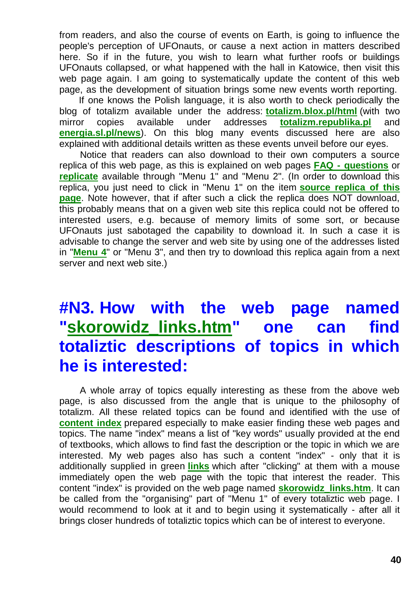from readers, and also the course of events on Earth, is going to influence the people's perception of UFOnauts, or cause a next action in matters described here. So if in the future, you wish to learn what further roofs or buildings UFOnauts collapsed, or what happened with the hall in Katowice, then visit this web page again. I am going to systematically update the content of this web page, as the development of situation brings some new events worth reporting.

If one knows the Polish language, it is also worth to check periodically the blog of totalizm available under the address: **[totalizm.blox.pl/html](http://totalizm.blox.pl/html/)** (with two mirror copies available under addresses **[totalizm.republika.pl](http://totalizm.republika.pl/)** and **[energia.sl.pl/news](http://energia.sl.pl/news)**). On this blog many events discussed here are also explained with additional details written as these events unveil before our eyes.

Notice that readers can also download to their own computers a source replica of this web page, as this is explained on web pages **FAQ - [questions](http://totalizm.com.pl/faq.htm)** or **[replicate](http://totalizm.com.pl/replicate.htm)** available through "Menu 1" and "Menu 2". (In order to download this replica, you just need to click in "Menu 1" on the item **[source replica of this](http://totalizm.com.pl/katowice.zip)  [page](http://totalizm.com.pl/katowice.zip)**. Note however, that if after such a click the replica does NOT download, this probably means that on a given web site this replica could not be offered to interested users, e.g. because of memory limits of some sort, or because UFOnauts just sabotaged the capability to download it. In such a case it is advisable to change the server and web site by using one of the addresses listed in "**[Menu 4](http://totalizm.com.pl/menu.htm)**" or "Menu 3", and then try to download this replica again from a next server and next web site.)

## **#N3. How with the web page named ["skorowidz\\_links.htm"](http://totalizm.com.pl/skorowidz_links.htm) one can find totaliztic descriptions of topics in which he is interested:**

A whole array of topics equally interesting as these from the above web page, is also discussed from the angle that is unique to the philosophy of totalizm. All these related topics can be found and identified with the use of **[content index](http://totalizm.com.pl/skorowidz_links.htm)** prepared especially to make easier finding these web pages and topics. The name "index" means a list of "key words" usually provided at the end of textbooks, which allows to find fast the description or the topic in which we are interested. My web pages also has such a content "index" - only that it is additionally supplied in green **[links](http://totalizm.com.pl/petone.htm)** which after "clicking" at them with a mouse immediately open the web page with the topic that interest the reader. This content "index" is provided on the web page named **[skorowidz\\_links.htm](http://totalizm.com.pl/skorowidz_links.htm)**. It can be called from the "organising" part of "Menu 1" of every totaliztic web page. I would recommend to look at it and to begin using it systematically - after all it brings closer hundreds of totaliztic topics which can be of interest to everyone.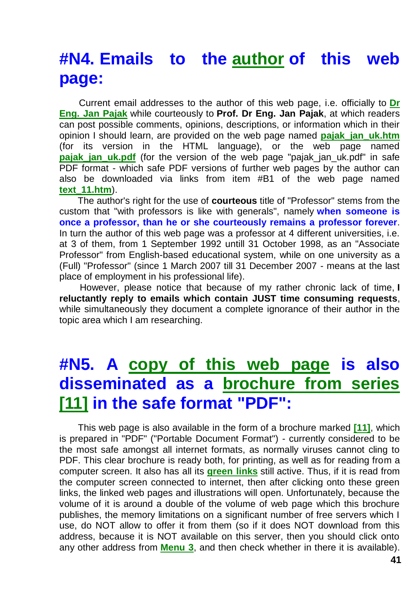## **#N4. Emails to the [author](http://totalizm.com.pl/pajak_jan_uk.htm) of this web page:**

Current email addresses to the author of this web page, i.e. officially to **[Dr](http://images.google.co.nz/images?hl=en&q=Jan+Pajak&btnG=Search+Images&gbv=1)  [Eng. Jan Pajak](http://images.google.co.nz/images?hl=en&q=Jan+Pajak&btnG=Search+Images&gbv=1)** while courteously to **Prof. Dr Eng. Jan Pajak**, at which readers can post possible comments, opinions, descriptions, or information which in their opinion I should learn, are provided on the web page named **[pajak\\_jan\\_uk.htm](http://totalizm.com.pl/pajak_jan_uk.htm)** (for its version in the HTML language), or the web page named **[pajak\\_jan\\_uk.pdf](http://totalizm.com.pl/pajak_jan_uk.pdf)** (for the version of the web page "pajak\_jan\_uk.pdf" in safe PDF format - which safe PDF versions of further web pages by the author can also be downloaded via links from item #B1 of the web page named **[text\\_11.htm](http://totalizm.com.pl/text_11.htm)**).

The author's right for the use of **courteous** title of "Professor" stems from the custom that "with professors is like with generals", namely **when someone is once a professor, than he or she courteously remains a professor forever**. In turn the author of this web page was a professor at 4 different universities, i.e. at 3 of them, from 1 September 1992 untill 31 October 1998, as an "Associate Professor" from English-based educational system, while on one university as a (Full) "Professor" (since 1 March 2007 till 31 December 2007 - means at the last place of employment in his professional life).

However, please notice that because of my rather chronic lack of time, **I reluctantly reply to emails which contain JUST time consuming requests**, while simultaneously they document a complete ignorance of their author in the topic area which I am researching.

# **#N5. A [copy of this web page](http://totalizm.com.pl/katowice_uk.pdf) is also disseminated as a [brochure from series](http://totalizm.com.pl/text_11.htm)  [\[11\]](http://totalizm.com.pl/text_11.htm) in the safe format "PDF":**

This web page is also available in the form of a brochure marked **[\[11\]](http://totalizm.com.pl/text_11.htm)**, which is prepared in "PDF" ("Portable Document Format") - currently considered to be the most safe amongst all internet formats, as normally viruses cannot cling to PDF. This clear brochure is ready both, for printing, as well as for reading from a computer screen. It also has all its **[green links](http://totalizm.com.pl/antichrist.htm)** still active. Thus, if it is read from the computer screen connected to internet, then after clicking onto these green links, the linked web pages and illustrations will open. Unfortunately, because the volume of it is around a double of the volume of web page which this brochure publishes, the memory limitations on a significant number of free servers which I use, do NOT allow to offer it from them (so if it does NOT download from this address, because it is NOT available on this server, then you should click onto any other address from **[Menu 3](http://totalizm.com.pl/menu.htm)**, and then check whether in there it is available).